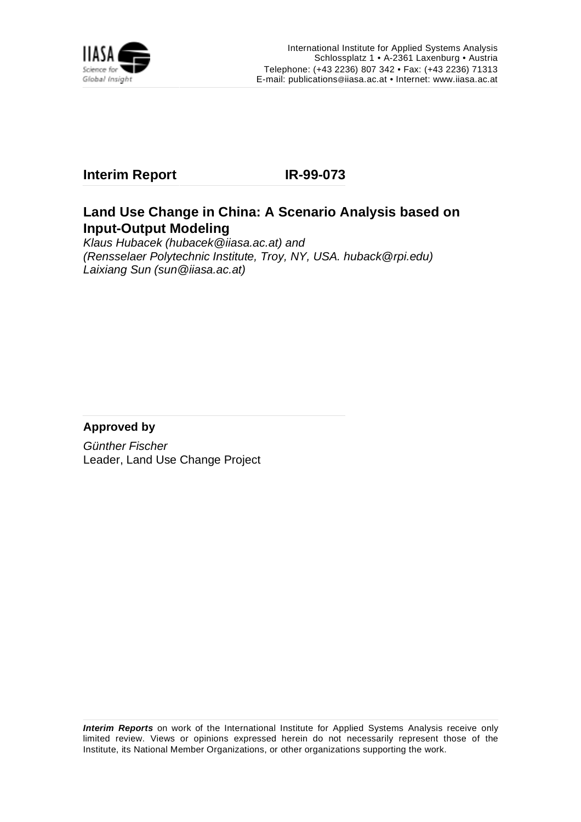

## **Interim Report IR-99-073**

## **Land Use Change in China: A Scenario Analysis based on Input-Output Modeling**

Klaus Hubacek (hubacek@iiasa.ac.at) and (Rensselaer Polytechnic Institute, Troy, NY, USA. huback@rpi.edu) Laixiang Sun (sun@iiasa.ac.at)

## **Approved by**

Günther Fischer Leader, Land Use Change Project

**Interim Reports** on work of the International Institute for Applied Systems Analysis receive only limited review. Views or opinions expressed herein do not necessarily represent those of the Institute, its National Member Organizations, or other organizations supporting the work.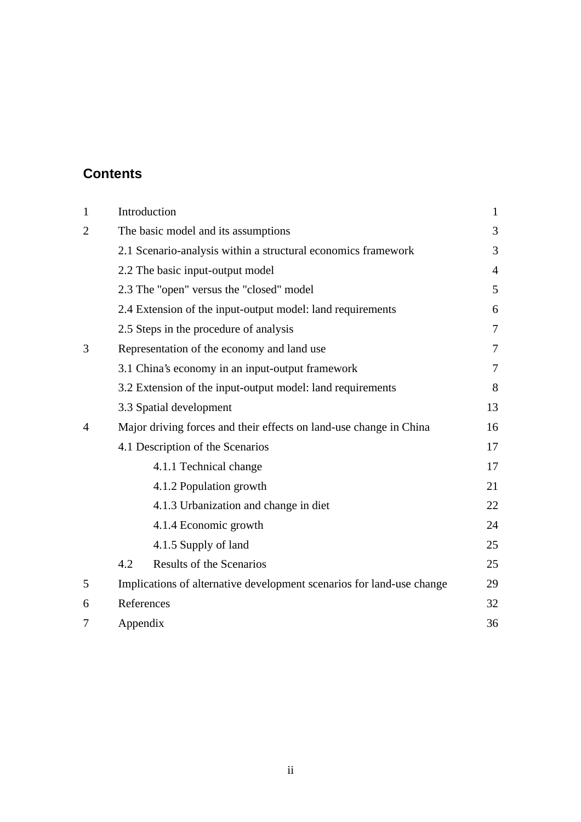# **Contents**

| $\mathbf{1}$   |          | Introduction                                                          | $\mathbf{1}$   |
|----------------|----------|-----------------------------------------------------------------------|----------------|
| $\overline{2}$ |          | The basic model and its assumptions                                   | 3              |
|                |          | 2.1 Scenario-analysis within a structural economics framework         | 3              |
|                |          | 2.2 The basic input-output model                                      | $\overline{4}$ |
|                |          | 2.3 The "open" versus the "closed" model                              | 5              |
|                |          | 2.4 Extension of the input-output model: land requirements            | 6              |
|                |          | 2.5 Steps in the procedure of analysis                                | 7              |
| 3              |          | Representation of the economy and land use                            | 7              |
|                |          | 3.1 China's economy in an input-output framework                      | 7              |
|                |          | 3.2 Extension of the input-output model: land requirements            | 8              |
|                |          | 3.3 Spatial development                                               | 13             |
| $\overline{A}$ |          | Major driving forces and their effects on land-use change in China    | 16             |
|                |          | 4.1 Description of the Scenarios                                      | 17             |
|                |          | 4.1.1 Technical change                                                | 17             |
|                |          | 4.1.2 Population growth                                               | 21             |
|                |          | 4.1.3 Urbanization and change in diet                                 | 22             |
|                |          | 4.1.4 Economic growth                                                 | 24             |
|                |          | 4.1.5 Supply of land                                                  | 25             |
|                | 4.2      | <b>Results of the Scenarios</b>                                       | 25             |
| 5              |          | Implications of alternative development scenarios for land-use change | 29             |
| 6              |          | References                                                            | 32             |
| 7              | Appendix |                                                                       | 36             |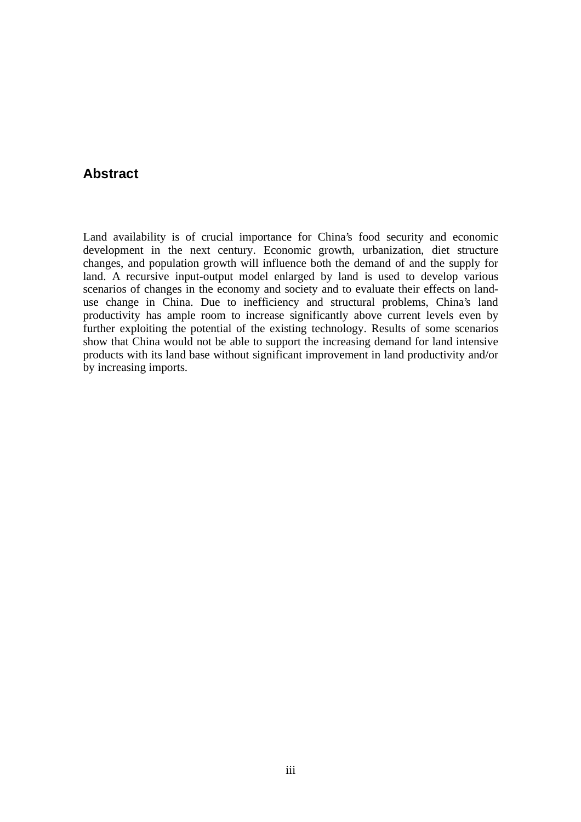## **Abstract**

Land availability is of crucial importance for China's food security and economic development in the next century. Economic growth, urbanization, diet structure changes, and population growth will influence both the demand of and the supply for land. A recursive input-output model enlarged by land is used to develop various scenarios of changes in the economy and society and to evaluate their effects on landuse change in China. Due to inefficiency and structural problems, China's land productivity has ample room to increase significantly above current levels even by further exploiting the potential of the existing technology. Results of some scenarios show that China would not be able to support the increasing demand for land intensive products with its land base without significant improvement in land productivity and/or by increasing imports.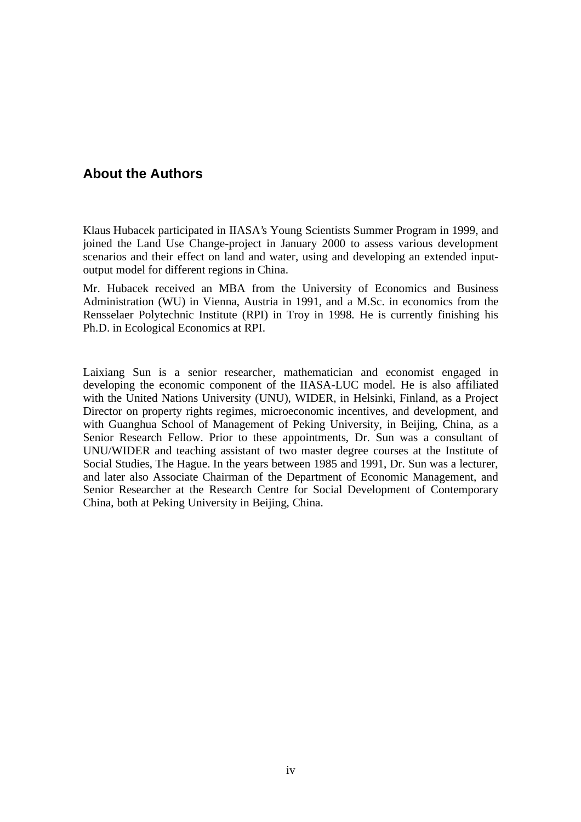## **About the Authors**

Klaus Hubacek participated in IIASA's Young Scientists Summer Program in 1999, and joined the Land Use Change-project in January 2000 to assess various development scenarios and their effect on land and water, using and developing an extended inputoutput model for different regions in China.

Mr. Hubacek received an MBA from the University of Economics and Business Administration (WU) in Vienna, Austria in 1991, and a M.Sc. in economics from the Rensselaer Polytechnic Institute (RPI) in Troy in 1998. He is currently finishing his Ph.D. in Ecological Economics at RPI.

Laixiang Sun is a senior researcher, mathematician and economist engaged in developing the economic component of the IIASA-LUC model. He is also affiliated with the United Nations University (UNU), WIDER, in Helsinki, Finland, as a Project Director on property rights regimes, microeconomic incentives, and development, and with Guanghua School of Management of Peking University, in Beijing, China, as a Senior Research Fellow. Prior to these appointments, Dr. Sun was a consultant of UNU/WIDER and teaching assistant of two master degree courses at the Institute of Social Studies, The Hague. In the years between 1985 and 1991, Dr. Sun was a lecturer, and later also Associate Chairman of the Department of Economic Management, and Senior Researcher at the Research Centre for Social Development of Contemporary China, both at Peking University in Beijing, China.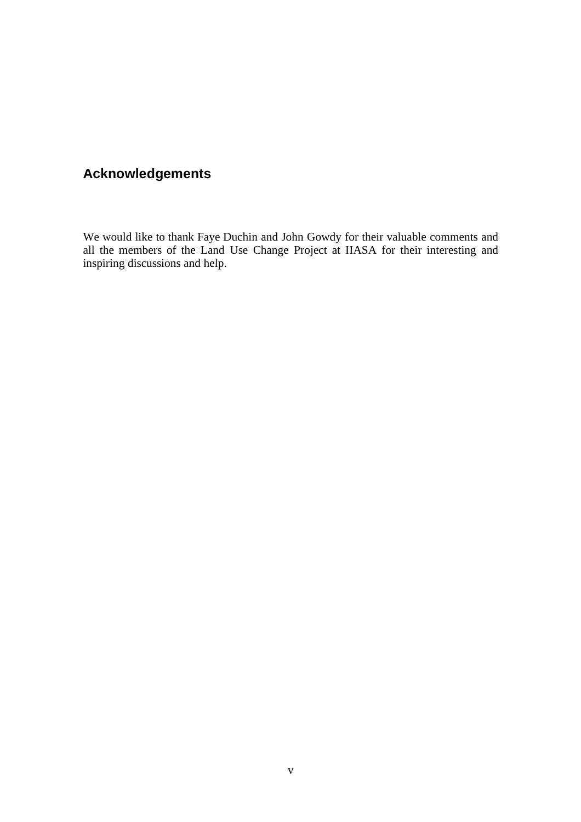# **Acknowledgements**

We would like to thank Faye Duchin and John Gowdy for their valuable comments and all the members of the Land Use Change Project at IIASA for their interesting and inspiring discussions and help.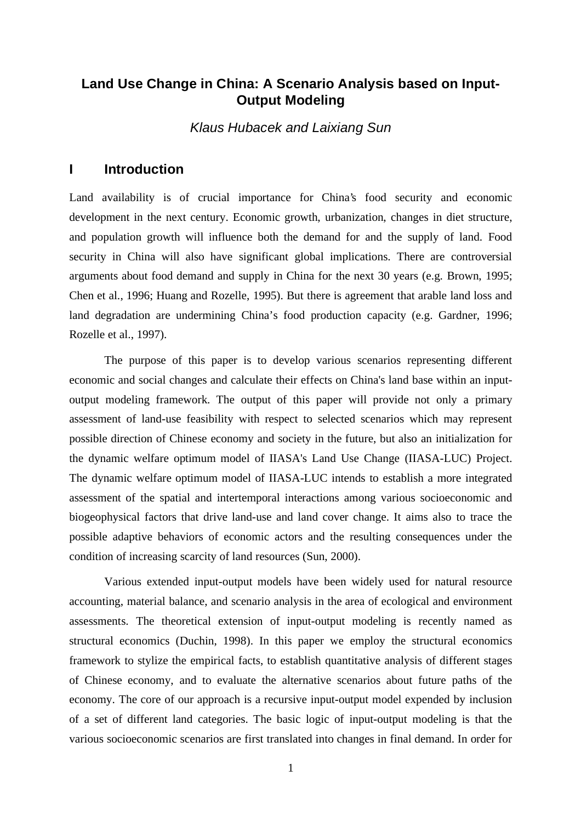## **Land Use Change in China: A Scenario Analysis based on Input-Output Modeling**

Klaus Hubacek and Laixiang Sun

## **I Introduction**

Land availability is of crucial importance for China's food security and economic development in the next century. Economic growth, urbanization, changes in diet structure, and population growth will influence both the demand for and the supply of land. Food security in China will also have significant global implications. There are controversial arguments about food demand and supply in China for the next 30 years (e.g. Brown, 1995; Chen et al., 1996; Huang and Rozelle, 1995). But there is agreement that arable land loss and land degradation are undermining China's food production capacity (e.g. Gardner, 1996; Rozelle et al., 1997).

The purpose of this paper is to develop various scenarios representing different economic and social changes and calculate their effects on China's land base within an inputoutput modeling framework. The output of this paper will provide not only a primary assessment of land-use feasibility with respect to selected scenarios which may represent possible direction of Chinese economy and society in the future, but also an initialization for the dynamic welfare optimum model of IIASA's Land Use Change (IIASA-LUC) Project. The dynamic welfare optimum model of IIASA-LUC intends to establish a more integrated assessment of the spatial and intertemporal interactions among various socioeconomic and biogeophysical factors that drive land-use and land cover change. It aims also to trace the possible adaptive behaviors of economic actors and the resulting consequences under the condition of increasing scarcity of land resources (Sun, 2000).

Various extended input-output models have been widely used for natural resource accounting, material balance, and scenario analysis in the area of ecological and environment assessments. The theoretical extension of input-output modeling is recently named as structural economics (Duchin, 1998). In this paper we employ the structural economics framework to stylize the empirical facts, to establish quantitative analysis of different stages of Chinese economy, and to evaluate the alternative scenarios about future paths of the economy. The core of our approach is a recursive input-output model expended by inclusion of a set of different land categories. The basic logic of input-output modeling is that the various socioeconomic scenarios are first translated into changes in final demand. In order for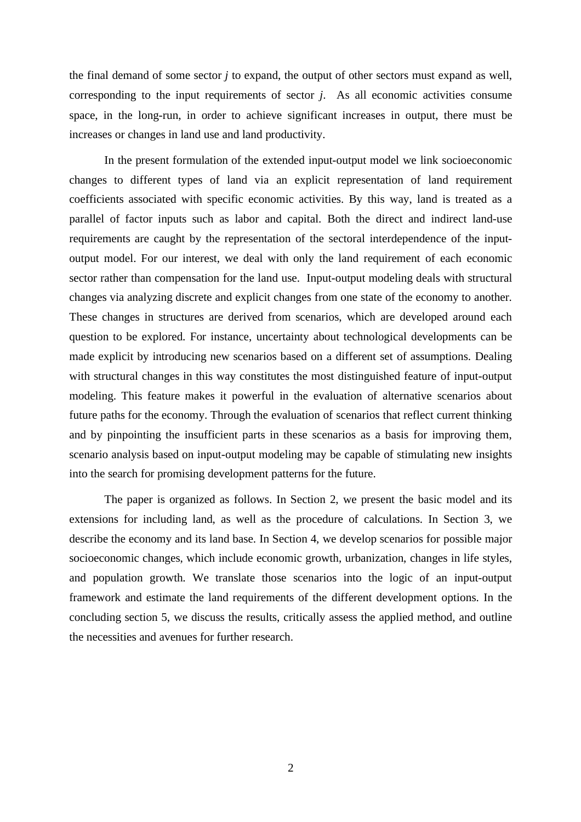the final demand of some sector *j* to expand, the output of other sectors must expand as well, corresponding to the input requirements of sector *j*. As all economic activities consume space, in the long-run, in order to achieve significant increases in output, there must be increases or changes in land use and land productivity.

In the present formulation of the extended input-output model we link socioeconomic changes to different types of land via an explicit representation of land requirement coefficients associated with specific economic activities. By this way, land is treated as a parallel of factor inputs such as labor and capital. Both the direct and indirect land-use requirements are caught by the representation of the sectoral interdependence of the inputoutput model. For our interest, we deal with only the land requirement of each economic sector rather than compensation for the land use. Input-output modeling deals with structural changes via analyzing discrete and explicit changes from one state of the economy to another. These changes in structures are derived from scenarios, which are developed around each question to be explored. For instance, uncertainty about technological developments can be made explicit by introducing new scenarios based on a different set of assumptions. Dealing with structural changes in this way constitutes the most distinguished feature of input-output modeling. This feature makes it powerful in the evaluation of alternative scenarios about future paths for the economy. Through the evaluation of scenarios that reflect current thinking and by pinpointing the insufficient parts in these scenarios as a basis for improving them, scenario analysis based on input-output modeling may be capable of stimulating new insights into the search for promising development patterns for the future.

The paper is organized as follows. In Section 2, we present the basic model and its extensions for including land, as well as the procedure of calculations. In Section 3, we describe the economy and its land base. In Section 4, we develop scenarios for possible major socioeconomic changes, which include economic growth, urbanization, changes in life styles, and population growth. We translate those scenarios into the logic of an input-output framework and estimate the land requirements of the different development options. In the concluding section 5, we discuss the results, critically assess the applied method, and outline the necessities and avenues for further research.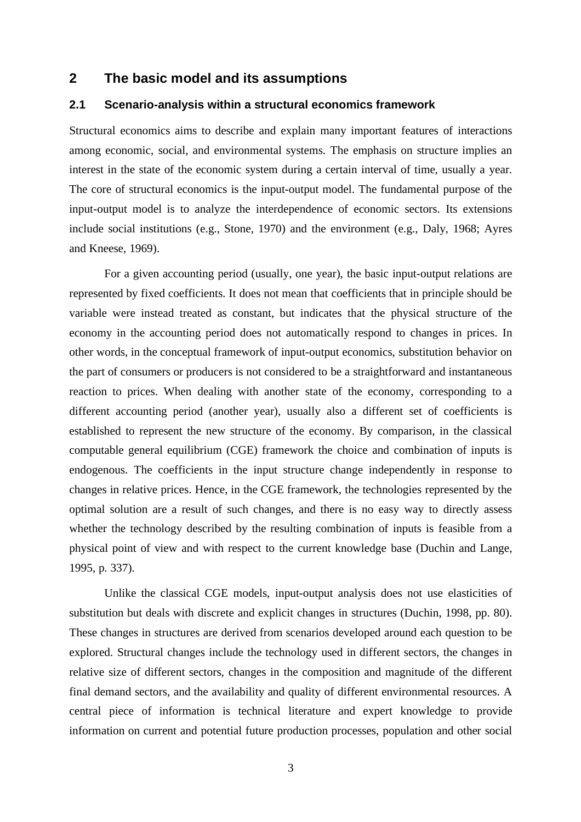## **2 The basic model and its assumptions**

#### **2.1 Scenario-analysis within a structural economics framework**

Structural economics aims to describe and explain many important features of interactions among economic, social, and environmental systems. The emphasis on structure implies an interest in the state of the economic system during a certain interval of time, usually a year. The core of structural economics is the input-output model. The fundamental purpose of the input-output model is to analyze the interdependence of economic sectors. Its extensions include social institutions (e.g., Stone, 1970) and the environment (e.g., Daly, 1968; Ayres and Kneese, 1969).

For a given accounting period (usually, one year), the basic input-output relations are represented by fixed coefficients. It does not mean that coefficients that in principle should be variable were instead treated as constant, but indicates that the physical structure of the economy in the accounting period does not automatically respond to changes in prices. In other words, in the conceptual framework of input-output economics, substitution behavior on the part of consumers or producers is not considered to be a straightforward and instantaneous reaction to prices. When dealing with another state of the economy, corresponding to a different accounting period (another year), usually also a different set of coefficients is established to represent the new structure of the economy. By comparison, in the classical computable general equilibrium (CGE) framework the choice and combination of inputs is endogenous. The coefficients in the input structure change independently in response to changes in relative prices. Hence, in the CGE framework, the technologies represented by the optimal solution are a result of such changes, and there is no easy way to directly assess whether the technology described by the resulting combination of inputs is feasible from a physical point of view and with respect to the current knowledge base (Duchin and Lange, 1995, p. 337).

Unlike the classical CGE models, input-output analysis does not use elasticities of substitution but deals with discrete and explicit changes in structures (Duchin, 1998, pp. 80). These changes in structures are derived from scenarios developed around each question to be explored. Structural changes include the technology used in different sectors, the changes in relative size of different sectors, changes in the composition and magnitude of the different final demand sectors, and the availability and quality of different environmental resources. A central piece of information is technical literature and expert knowledge to provide information on current and potential future production processes, population and other social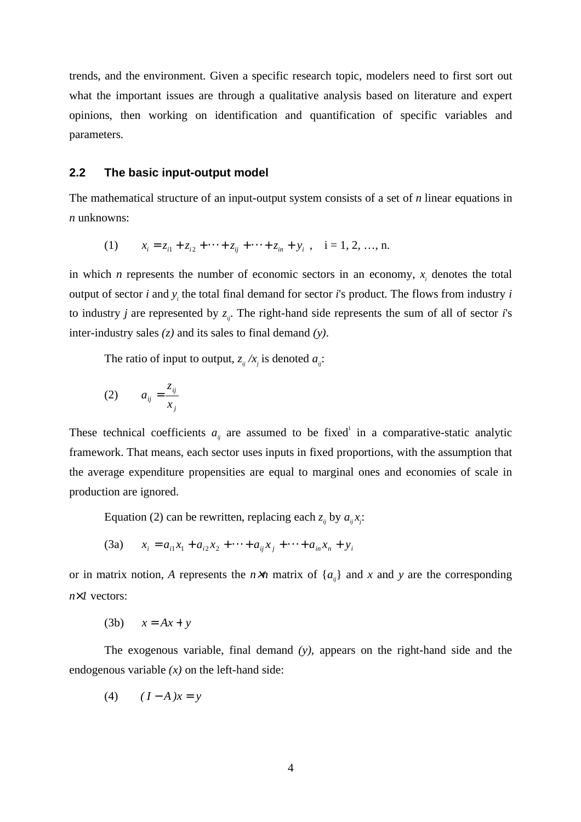trends, and the environment. Given a specific research topic, modelers need to first sort out what the important issues are through a qualitative analysis based on literature and expert opinions, then working on identification and quantification of specific variables and parameters.

### **2.2 The basic input-output model**

The mathematical structure of an input-output system consists of a set of *n* linear equations in *n* unknowns:

(1) 
$$
x_i = z_{i1} + z_{i2} + \cdots + z_{ij} + \cdots + z_{in} + y_i
$$
,  $i = 1, 2, ..., n$ .

in which *n* represents the number of economic sectors in an economy,  $x_i$  denotes the total output of sector *i* and *yi* the total final demand for sector *i*'s product. The flows from industry *i* to industry *j* are represented by  $z_{ij}$ . The right-hand side represents the sum of all of sector *i*'s inter-industry sales *(z)* and its sales to final demand *(y)*.

The ratio of input to output,  $z_{ij}/x_j$  is denoted  $a_{ij}$ :

$$
(2) \qquad a_{ij} = \frac{z_{ij}}{x_j}
$$

These technical coefficients  $a_{ij}$  are assumed to be fixed in a comparative-static analytic framework. That means, each sector uses inputs in fixed proportions, with the assumption that the average expenditure propensities are equal to marginal ones and economies of scale in production are ignored.

Equation (2) can be rewritten, replacing each  $z_{ij}$  by  $a_{ij}x_j$ :

(3a) 
$$
x_i = a_{i1}x_1 + a_{i2}x_2 + \cdots + a_{ij}x_j + \cdots + a_{in}x_n + y_i
$$

or in matrix notion, *A* represents the  $n \times n$  matrix of  $\{a_{ij}\}\$ and *x* and *y* are the corresponding *n*×*1* vectors:

$$
(3b) \qquad x = Ax + y
$$

The exogenous variable, final demand *(y)*, appears on the right-hand side and the endogenous variable *(x)* on the left-hand side:

$$
(4) \qquad (I - A)x = y
$$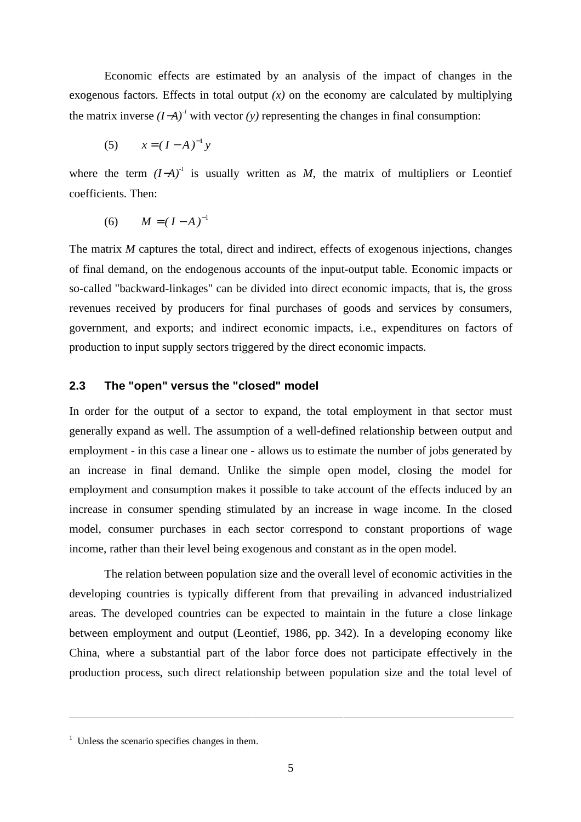Economic effects are estimated by an analysis of the impact of changes in the exogenous factors. Effects in total output  $(x)$  on the economy are calculated by multiplying the matrix inverse  $(I-A)^{T}$  with vector  $(y)$  representing the changes in final consumption:

(5) 
$$
x = (I - A)^{-1} y
$$

where the term  $(I-A)^{T}$  is usually written as *M*, the matrix of multipliers or Leontief coefficients. Then:

(6) 
$$
M = (I - A)^{-1}
$$

The matrix *M* captures the total, direct and indirect, effects of exogenous injections, changes of final demand, on the endogenous accounts of the input-output table. Economic impacts or so-called "backward-linkages" can be divided into direct economic impacts, that is, the gross revenues received by producers for final purchases of goods and services by consumers, government, and exports; and indirect economic impacts, i.e., expenditures on factors of production to input supply sectors triggered by the direct economic impacts.

### **2.3 The "open" versus the "closed" model**

In order for the output of a sector to expand, the total employment in that sector must generally expand as well. The assumption of a well-defined relationship between output and employment - in this case a linear one - allows us to estimate the number of jobs generated by an increase in final demand. Unlike the simple open model, closing the model for employment and consumption makes it possible to take account of the effects induced by an increase in consumer spending stimulated by an increase in wage income. In the closed model, consumer purchases in each sector correspond to constant proportions of wage income, rather than their level being exogenous and constant as in the open model.

The relation between population size and the overall level of economic activities in the developing countries is typically different from that prevailing in advanced industrialized areas. The developed countries can be expected to maintain in the future a close linkage between employment and output (Leontief, 1986, pp. 342). In a developing economy like China, where a substantial part of the labor force does not participate effectively in the production process, such direct relationship between population size and the total level of

 $\overline{a}$ 

 $<sup>1</sup>$  Unless the scenario specifies changes in them.</sup>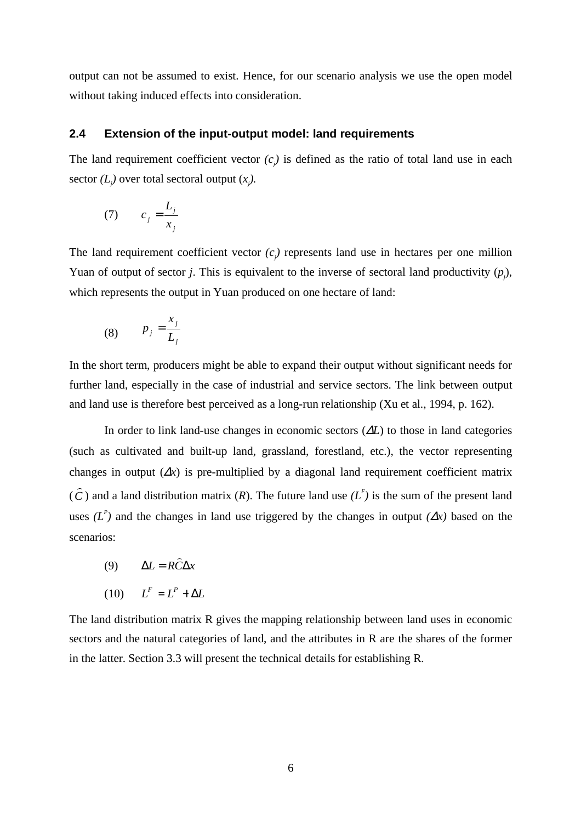output can not be assumed to exist. Hence, for our scenario analysis we use the open model without taking induced effects into consideration.

### **2.4 Extension of the input-output model: land requirements**

The land requirement coefficient vector  $(c_j)$  is defined as the ratio of total land use in each sector  $(L_j)$  over total sectoral output  $(x_j)$ .

$$
(7) \qquad c_j = \frac{L_j}{x_j}
$$

The land requirement coefficient vector  $(c_j)$  represents land use in hectares per one million Yuan of output of sector *j*. This is equivalent to the inverse of sectoral land productivity  $(p_j)$ , which represents the output in Yuan produced on one hectare of land:

$$
(8) \qquad p_j = \frac{x_j}{L_j}
$$

In the short term, producers might be able to expand their output without significant needs for further land, especially in the case of industrial and service sectors. The link between output and land use is therefore best perceived as a long-run relationship (Xu et al., 1994, p. 162).

In order to link land-use changes in economic sectors (∆*L*) to those in land categories (such as cultivated and built-up land, grassland, forestland, etc.), the vector representing changes in output  $(\Delta x)$  is pre-multiplied by a diagonal land requirement coefficient matrix (*C* ) ) and a land distribution matrix (*R*). The future land use  $(L<sup>F</sup>)$  is the sum of the present land uses  $(L^P)$  and the changes in land use triggered by the changes in output  $(\Delta x)$  based on the scenarios:

- (9)  $\Delta L = R\hat{C}\Delta x$
- $(L^{f})$   $L^{F} = L^{P} + \Delta L$

The land distribution matrix R gives the mapping relationship between land uses in economic sectors and the natural categories of land, and the attributes in R are the shares of the former in the latter. Section 3.3 will present the technical details for establishing R.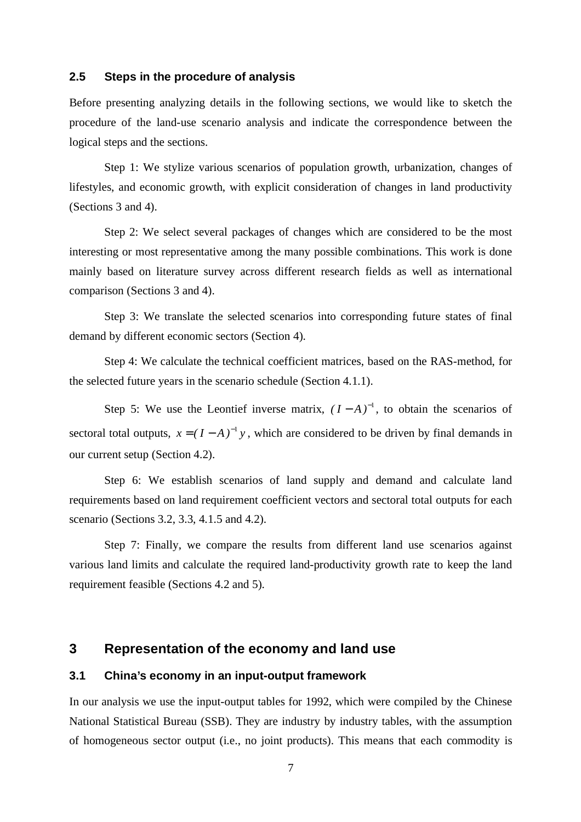### **2.5 Steps in the procedure of analysis**

Before presenting analyzing details in the following sections, we would like to sketch the procedure of the land-use scenario analysis and indicate the correspondence between the logical steps and the sections.

Step 1: We stylize various scenarios of population growth, urbanization, changes of lifestyles, and economic growth, with explicit consideration of changes in land productivity (Sections 3 and 4).

Step 2: We select several packages of changes which are considered to be the most interesting or most representative among the many possible combinations. This work is done mainly based on literature survey across different research fields as well as international comparison (Sections 3 and 4).

Step 3: We translate the selected scenarios into corresponding future states of final demand by different economic sectors (Section 4).

Step 4: We calculate the technical coefficient matrices, based on the RAS-method, for the selected future years in the scenario schedule (Section 4.1.1).

Step 5: We use the Leontief inverse matrix,  $(I - A)^{-1}$ , to obtain the scenarios of sectoral total outputs,  $x = (I - A)^{-1}y$ , which are considered to be driven by final demands in our current setup (Section 4.2).

Step 6: We establish scenarios of land supply and demand and calculate land requirements based on land requirement coefficient vectors and sectoral total outputs for each scenario (Sections 3.2, 3.3, 4.1.5 and 4.2).

Step 7: Finally, we compare the results from different land use scenarios against various land limits and calculate the required land-productivity growth rate to keep the land requirement feasible (Sections 4.2 and 5).

## **3 Representation of the economy and land use**

### **3.1 China's economy in an input-output framework**

In our analysis we use the input-output tables for 1992, which were compiled by the Chinese National Statistical Bureau (SSB). They are industry by industry tables, with the assumption of homogeneous sector output (i.e., no joint products). This means that each commodity is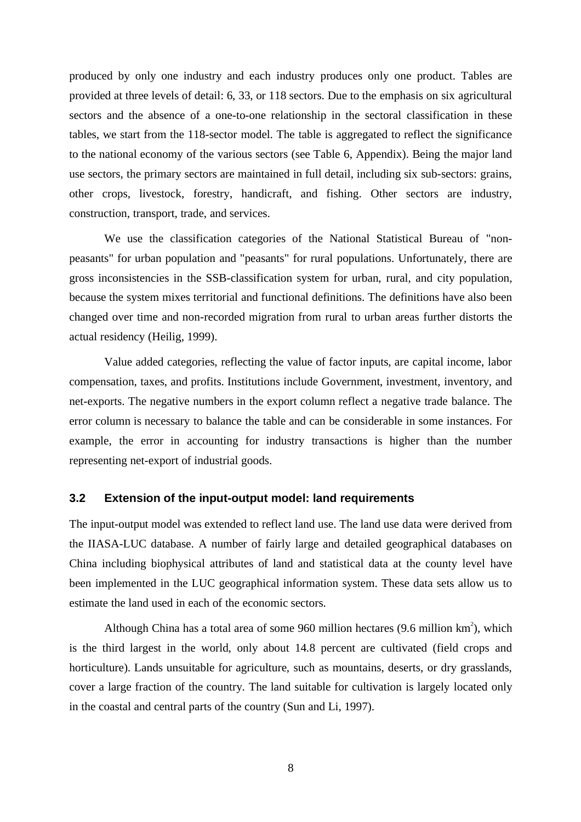produced by only one industry and each industry produces only one product. Tables are provided at three levels of detail: 6, 33, or 118 sectors. Due to the emphasis on six agricultural sectors and the absence of a one-to-one relationship in the sectoral classification in these tables, we start from the 118-sector model. The table is aggregated to reflect the significance to the national economy of the various sectors (see Table 6, Appendix). Being the major land use sectors, the primary sectors are maintained in full detail, including six sub-sectors: grains, other crops, livestock, forestry, handicraft, and fishing. Other sectors are industry, construction, transport, trade, and services.

We use the classification categories of the National Statistical Bureau of "nonpeasants" for urban population and "peasants" for rural populations. Unfortunately, there are gross inconsistencies in the SSB-classification system for urban, rural, and city population, because the system mixes territorial and functional definitions. The definitions have also been changed over time and non-recorded migration from rural to urban areas further distorts the actual residency (Heilig, 1999).

Value added categories, reflecting the value of factor inputs, are capital income, labor compensation, taxes, and profits. Institutions include Government, investment, inventory, and net-exports. The negative numbers in the export column reflect a negative trade balance. The error column is necessary to balance the table and can be considerable in some instances. For example, the error in accounting for industry transactions is higher than the number representing net-export of industrial goods.

### **3.2 Extension of the input-output model: land requirements**

The input-output model was extended to reflect land use. The land use data were derived from the IIASA-LUC database. A number of fairly large and detailed geographical databases on China including biophysical attributes of land and statistical data at the county level have been implemented in the LUC geographical information system. These data sets allow us to estimate the land used in each of the economic sectors.

Although China has a total area of some 960 million hectares (9.6 million  $km<sup>2</sup>$ ), which is the third largest in the world, only about 14.8 percent are cultivated (field crops and horticulture). Lands unsuitable for agriculture, such as mountains, deserts, or dry grasslands, cover a large fraction of the country. The land suitable for cultivation is largely located only in the coastal and central parts of the country (Sun and Li, 1997).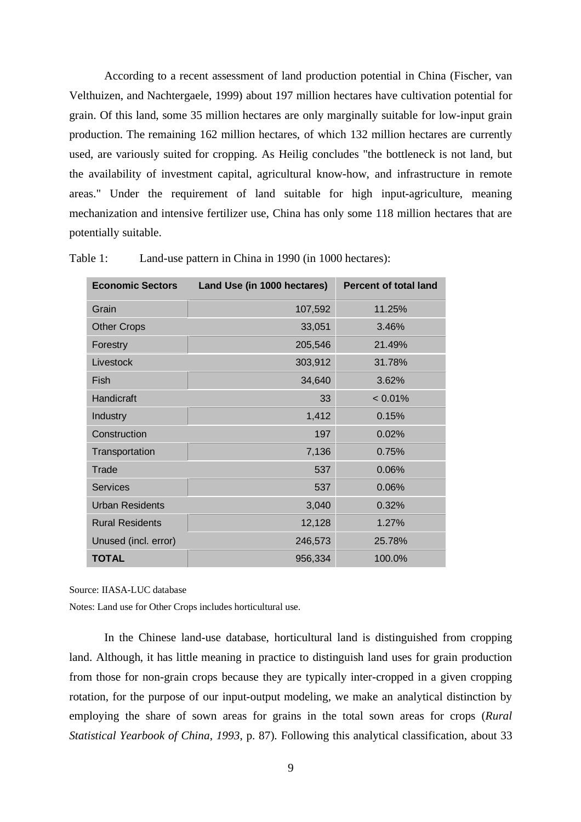According to a recent assessment of land production potential in China (Fischer, van Velthuizen, and Nachtergaele, 1999) about 197 million hectares have cultivation potential for grain. Of this land, some 35 million hectares are only marginally suitable for low-input grain production. The remaining 162 million hectares, of which 132 million hectares are currently used, are variously suited for cropping. As Heilig concludes "the bottleneck is not land, but the availability of investment capital, agricultural know-how, and infrastructure in remote areas." Under the requirement of land suitable for high input-agriculture, meaning mechanization and intensive fertilizer use, China has only some 118 million hectares that are potentially suitable.

| <b>Economic Sectors</b> | Land Use (in 1000 hectares) | <b>Percent of total land</b> |
|-------------------------|-----------------------------|------------------------------|
| Grain                   | 107,592                     | 11.25%                       |
| <b>Other Crops</b>      | 33,051                      | 3.46%                        |
| Forestry                | 205,546                     | 21.49%                       |
| Livestock               | 303,912                     | 31.78%                       |
| Fish                    | 34,640                      | 3.62%                        |
| Handicraft              | 33                          | $< 0.01\%$                   |
| Industry                | 1,412                       | 0.15%                        |
| Construction            | 197                         | 0.02%                        |
| Transportation          | 7,136                       | 0.75%                        |
| Trade                   | 537                         | 0.06%                        |
| <b>Services</b>         | 537                         | 0.06%                        |
| <b>Urban Residents</b>  | 3,040                       | 0.32%                        |
| <b>Rural Residents</b>  | 12,128                      | 1.27%                        |
| Unused (incl. error)    | 246,573                     | 25.78%                       |
| <b>TOTAL</b>            | 956,334                     | 100.0%                       |

Table 1: Land-use pattern in China in 1990 (in 1000 hectares):

Source: IIASA-LUC database

Notes: Land use for Other Crops includes horticultural use.

In the Chinese land-use database, horticultural land is distinguished from cropping land. Although, it has little meaning in practice to distinguish land uses for grain production from those for non-grain crops because they are typically inter-cropped in a given cropping rotation, for the purpose of our input-output modeling, we make an analytical distinction by employing the share of sown areas for grains in the total sown areas for crops (*Rural Statistical Yearbook of China*, *1993*, p. 87). Following this analytical classification, about 33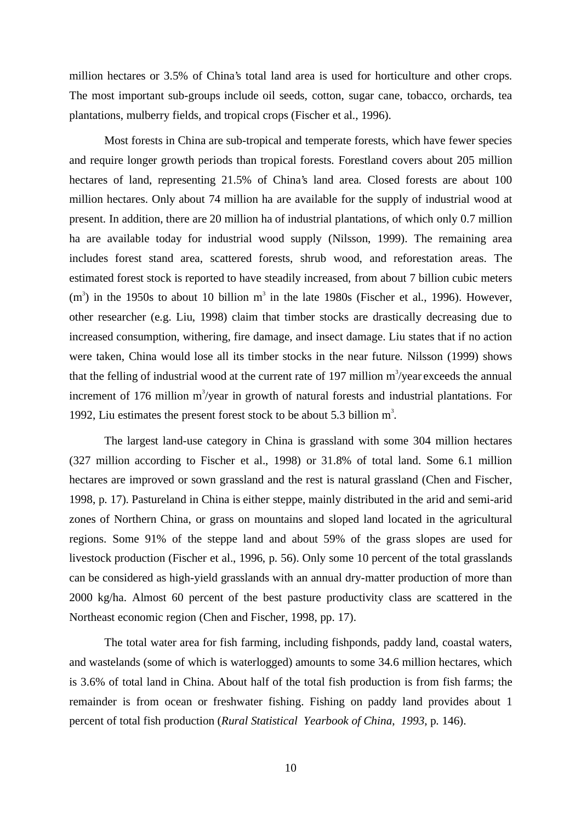million hectares or 3.5% of China's total land area is used for horticulture and other crops. The most important sub-groups include oil seeds, cotton, sugar cane, tobacco, orchards, tea plantations, mulberry fields, and tropical crops (Fischer et al., 1996).

Most forests in China are sub-tropical and temperate forests, which have fewer species and require longer growth periods than tropical forests. Forestland covers about 205 million hectares of land, representing 21.5% of China's land area. Closed forests are about 100 million hectares. Only about 74 million ha are available for the supply of industrial wood at present. In addition, there are 20 million ha of industrial plantations, of which only 0.7 million ha are available today for industrial wood supply (Nilsson, 1999). The remaining area includes forest stand area, scattered forests, shrub wood, and reforestation areas. The estimated forest stock is reported to have steadily increased, from about 7 billion cubic meters  $(m<sup>3</sup>)$  in the 1950s to about 10 billion  $m<sup>3</sup>$  in the late 1980s (Fischer et al., 1996). However, other researcher (e.g. Liu, 1998) claim that timber stocks are drastically decreasing due to increased consumption, withering, fire damage, and insect damage. Liu states that if no action were taken, China would lose all its timber stocks in the near future. Nilsson (1999) shows that the felling of industrial wood at the current rate of 197 million  $m^3$ /year exceeds the annual increment of 176 million  $m^3$ /year in growth of natural forests and industrial plantations. For 1992, Liu estimates the present forest stock to be about 5.3 billion  $m^3$ .

The largest land-use category in China is grassland with some 304 million hectares (327 million according to Fischer et al., 1998) or 31.8% of total land. Some 6.1 million hectares are improved or sown grassland and the rest is natural grassland (Chen and Fischer, 1998, p. 17). Pastureland in China is either steppe, mainly distributed in the arid and semi-arid zones of Northern China, or grass on mountains and sloped land located in the agricultural regions. Some 91% of the steppe land and about 59% of the grass slopes are used for livestock production (Fischer et al., 1996, p. 56). Only some 10 percent of the total grasslands can be considered as high-yield grasslands with an annual dry-matter production of more than 2000 kg/ha. Almost 60 percent of the best pasture productivity class are scattered in the Northeast economic region (Chen and Fischer, 1998, pp. 17).

The total water area for fish farming, including fishponds, paddy land, coastal waters, and wastelands (some of which is waterlogged) amounts to some 34.6 million hectares, which is 3.6% of total land in China. About half of the total fish production is from fish farms; the remainder is from ocean or freshwater fishing. Fishing on paddy land provides about 1 percent of total fish production (*Rural Statistical Yearbook of China*, *1993*, p. 146).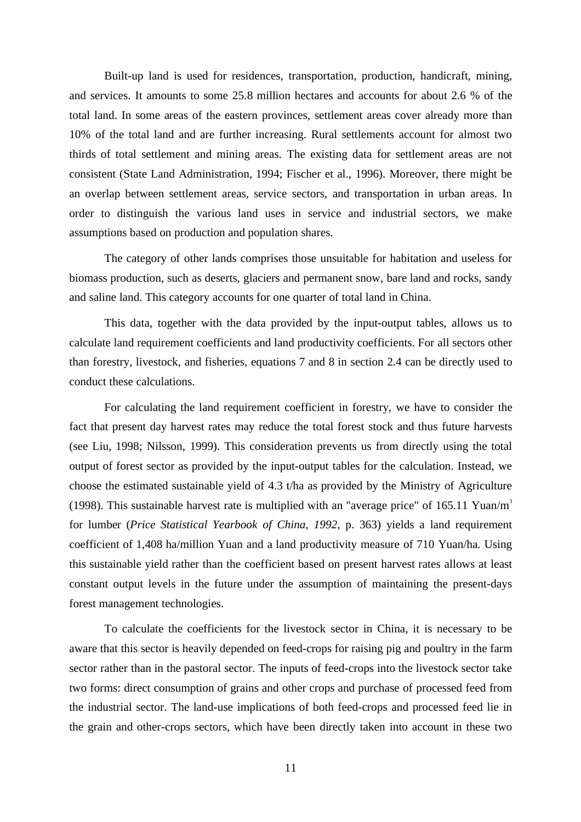Built-up land is used for residences, transportation, production, handicraft, mining, and services. It amounts to some 25.8 million hectares and accounts for about 2.6 % of the total land. In some areas of the eastern provinces, settlement areas cover already more than 10% of the total land and are further increasing. Rural settlements account for almost two thirds of total settlement and mining areas. The existing data for settlement areas are not consistent (State Land Administration, 1994; Fischer et al., 1996). Moreover, there might be an overlap between settlement areas, service sectors, and transportation in urban areas. In order to distinguish the various land uses in service and industrial sectors, we make assumptions based on production and population shares.

The category of other lands comprises those unsuitable for habitation and useless for biomass production, such as deserts, glaciers and permanent snow, bare land and rocks, sandy and saline land. This category accounts for one quarter of total land in China.

This data, together with the data provided by the input-output tables, allows us to calculate land requirement coefficients and land productivity coefficients. For all sectors other than forestry, livestock, and fisheries, equations 7 and 8 in section 2.4 can be directly used to conduct these calculations.

For calculating the land requirement coefficient in forestry, we have to consider the fact that present day harvest rates may reduce the total forest stock and thus future harvests (see Liu, 1998; Nilsson, 1999). This consideration prevents us from directly using the total output of forest sector as provided by the input-output tables for the calculation. Instead, we choose the estimated sustainable yield of 4.3 t/ha as provided by the Ministry of Agriculture (1998). This sustainable harvest rate is multiplied with an "average price" of 165.11 Yuan/m<sup>3</sup> for lumber (*Price Statistical Yearbook of China*, *1992*, p. 363) yields a land requirement coefficient of 1,408 ha/million Yuan and a land productivity measure of 710 Yuan/ha. Using this sustainable yield rather than the coefficient based on present harvest rates allows at least constant output levels in the future under the assumption of maintaining the present-days forest management technologies.

To calculate the coefficients for the livestock sector in China, it is necessary to be aware that this sector is heavily depended on feed-crops for raising pig and poultry in the farm sector rather than in the pastoral sector. The inputs of feed-crops into the livestock sector take two forms: direct consumption of grains and other crops and purchase of processed feed from the industrial sector. The land-use implications of both feed-crops and processed feed lie in the grain and other-crops sectors, which have been directly taken into account in these two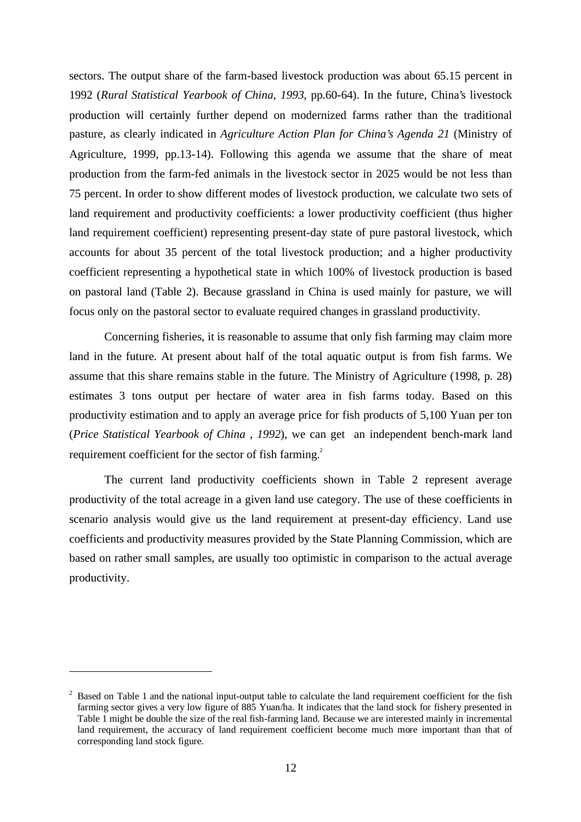sectors. The output share of the farm-based livestock production was about 65.15 percent in 1992 (*Rural Statistical Yearbook of China*, *1993*, pp.60-64). In the future, China's livestock production will certainly further depend on modernized farms rather than the traditional pasture, as clearly indicated in *Agriculture Action Plan for China's Agenda 21* (Ministry of Agriculture, 1999, pp.13-14). Following this agenda we assume that the share of meat production from the farm-fed animals in the livestock sector in 2025 would be not less than 75 percent. In order to show different modes of livestock production, we calculate two sets of land requirement and productivity coefficients: a lower productivity coefficient (thus higher land requirement coefficient) representing present-day state of pure pastoral livestock, which accounts for about 35 percent of the total livestock production; and a higher productivity coefficient representing a hypothetical state in which 100% of livestock production is based on pastoral land (Table 2). Because grassland in China is used mainly for pasture, we will focus only on the pastoral sector to evaluate required changes in grassland productivity.

Concerning fisheries, it is reasonable to assume that only fish farming may claim more land in the future. At present about half of the total aquatic output is from fish farms. We assume that this share remains stable in the future. The Ministry of Agriculture (1998, p. 28) estimates 3 tons output per hectare of water area in fish farms today. Based on this productivity estimation and to apply an average price for fish products of 5,100 Yuan per ton (*Price Statistical Yearbook of China* , *1992*), we can get an independent bench-mark land requirement coefficient for the sector of fish farming.<sup>2</sup>

The current land productivity coefficients shown in Table 2 represent average productivity of the total acreage in a given land use category. The use of these coefficients in scenario analysis would give us the land requirement at present-day efficiency. Land use coefficients and productivity measures provided by the State Planning Commission, which are based on rather small samples, are usually too optimistic in comparison to the actual average productivity.

 $\overline{a}$ 

 $2$  Based on Table 1 and the national input-output table to calculate the land requirement coefficient for the fish farming sector gives a very low figure of 885 Yuan/ha. It indicates that the land stock for fishery presented in Table 1 might be double the size of the real fish-farming land. Because we are interested mainly in incremental land requirement, the accuracy of land requirement coefficient become much more important than that of corresponding land stock figure.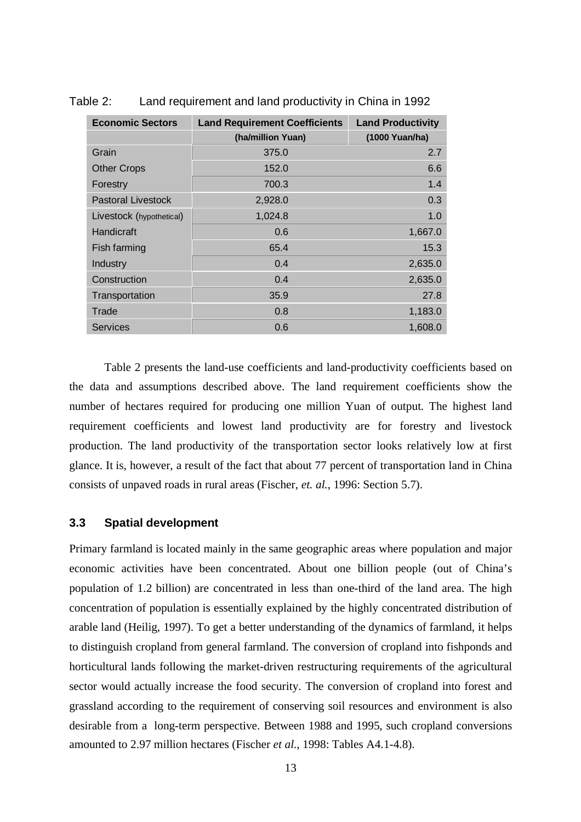| <b>Economic Sectors</b>   | <b>Land Requirement Coefficients</b> | <b>Land Productivity</b> |
|---------------------------|--------------------------------------|--------------------------|
|                           | (ha/million Yuan)                    | (1000 Yuan/ha)           |
| Grain                     | 375.0                                | 2.7                      |
| <b>Other Crops</b>        | 152.0                                | 6.6                      |
| Forestry                  | 700.3                                | 1.4                      |
| <b>Pastoral Livestock</b> | 2,928.0                              | 0.3                      |
| Livestock (hypothetical)  | 1,024.8                              | 1.0                      |
| Handicraft                | 0.6                                  | 1,667.0                  |
| Fish farming              | 65.4                                 | 15.3                     |
| Industry                  | 0.4                                  | 2,635.0                  |
| Construction              | 0.4                                  | 2,635.0                  |
| Transportation            | 35.9                                 | 27.8                     |
| Trade                     | 0.8                                  | 1,183.0                  |
| <b>Services</b>           | 0.6                                  | 1,608.0                  |

Table 2: Land requirement and land productivity in China in 1992

Table 2 presents the land-use coefficients and land-productivity coefficients based on the data and assumptions described above. The land requirement coefficients show the number of hectares required for producing one million Yuan of output. The highest land requirement coefficients and lowest land productivity are for forestry and livestock production. The land productivity of the transportation sector looks relatively low at first glance. It is, however, a result of the fact that about 77 percent of transportation land in China consists of unpaved roads in rural areas (Fischer, *et. al.*, 1996: Section 5.7).

### **3.3 Spatial development**

Primary farmland is located mainly in the same geographic areas where population and major economic activities have been concentrated. About one billion people (out of China's population of 1.2 billion) are concentrated in less than one-third of the land area. The high concentration of population is essentially explained by the highly concentrated distribution of arable land (Heilig, 1997). To get a better understanding of the dynamics of farmland, it helps to distinguish cropland from general farmland. The conversion of cropland into fishponds and horticultural lands following the market-driven restructuring requirements of the agricultural sector would actually increase the food security. The conversion of cropland into forest and grassland according to the requirement of conserving soil resources and environment is also desirable from a long-term perspective. Between 1988 and 1995, such cropland conversions amounted to 2.97 million hectares (Fischer *et al*., 1998: Tables A4.1-4.8).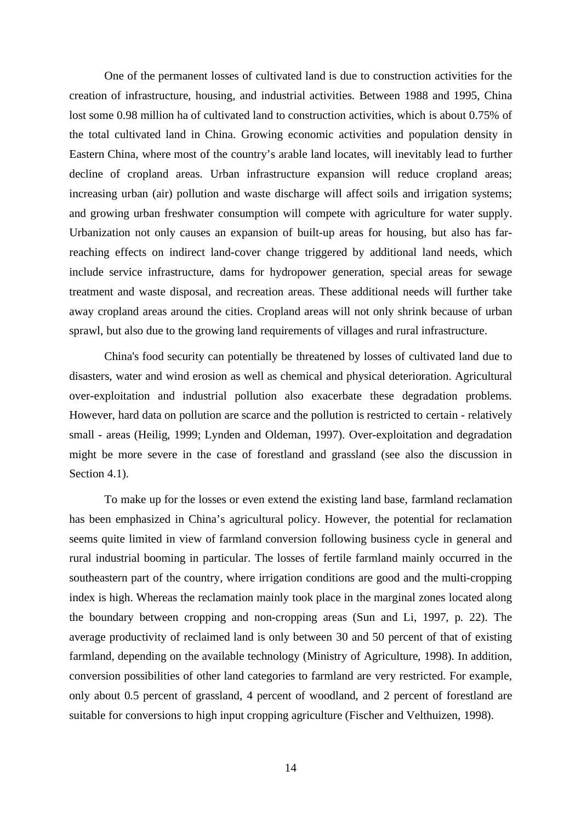One of the permanent losses of cultivated land is due to construction activities for the creation of infrastructure, housing, and industrial activities. Between 1988 and 1995, China lost some 0.98 million ha of cultivated land to construction activities, which is about 0.75% of the total cultivated land in China. Growing economic activities and population density in Eastern China, where most of the country's arable land locates, will inevitably lead to further decline of cropland areas. Urban infrastructure expansion will reduce cropland areas; increasing urban (air) pollution and waste discharge will affect soils and irrigation systems; and growing urban freshwater consumption will compete with agriculture for water supply. Urbanization not only causes an expansion of built-up areas for housing, but also has farreaching effects on indirect land-cover change triggered by additional land needs, which include service infrastructure, dams for hydropower generation, special areas for sewage treatment and waste disposal, and recreation areas. These additional needs will further take away cropland areas around the cities. Cropland areas will not only shrink because of urban sprawl, but also due to the growing land requirements of villages and rural infrastructure.

China's food security can potentially be threatened by losses of cultivated land due to disasters, water and wind erosion as well as chemical and physical deterioration. Agricultural over-exploitation and industrial pollution also exacerbate these degradation problems. However, hard data on pollution are scarce and the pollution is restricted to certain - relatively small - areas (Heilig, 1999; Lynden and Oldeman, 1997). Over-exploitation and degradation might be more severe in the case of forestland and grassland (see also the discussion in Section 4.1).

To make up for the losses or even extend the existing land base, farmland reclamation has been emphasized in China's agricultural policy. However, the potential for reclamation seems quite limited in view of farmland conversion following business cycle in general and rural industrial booming in particular. The losses of fertile farmland mainly occurred in the southeastern part of the country, where irrigation conditions are good and the multi-cropping index is high. Whereas the reclamation mainly took place in the marginal zones located along the boundary between cropping and non-cropping areas (Sun and Li, 1997, p. 22). The average productivity of reclaimed land is only between 30 and 50 percent of that of existing farmland, depending on the available technology (Ministry of Agriculture, 1998). In addition, conversion possibilities of other land categories to farmland are very restricted. For example, only about 0.5 percent of grassland, 4 percent of woodland, and 2 percent of forestland are suitable for conversions to high input cropping agriculture (Fischer and Velthuizen, 1998).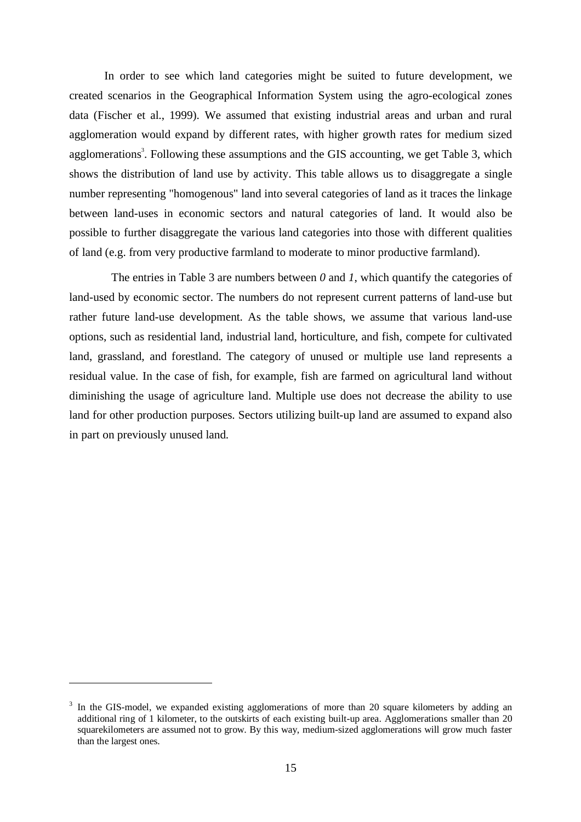In order to see which land categories might be suited to future development, we created scenarios in the Geographical Information System using the agro-ecological zones data (Fischer et al., 1999). We assumed that existing industrial areas and urban and rural agglomeration would expand by different rates, with higher growth rates for medium sized agglomerations<sup>3</sup>. Following these assumptions and the GIS accounting, we get Table 3, which shows the distribution of land use by activity. This table allows us to disaggregate a single number representing "homogenous" land into several categories of land as it traces the linkage between land-uses in economic sectors and natural categories of land. It would also be possible to further disaggregate the various land categories into those with different qualities of land (e.g. from very productive farmland to moderate to minor productive farmland).

The entries in Table 3 are numbers between *0* and *1*, which quantify the categories of land-used by economic sector. The numbers do not represent current patterns of land-use but rather future land-use development. As the table shows, we assume that various land-use options, such as residential land, industrial land, horticulture, and fish, compete for cultivated land, grassland, and forestland. The category of unused or multiple use land represents a residual value. In the case of fish, for example, fish are farmed on agricultural land without diminishing the usage of agriculture land. Multiple use does not decrease the ability to use land for other production purposes. Sectors utilizing built-up land are assumed to expand also in part on previously unused land.

1

<sup>&</sup>lt;sup>3</sup> In the GIS-model, we expanded existing agglomerations of more than 20 square kilometers by adding an additional ring of 1 kilometer, to the outskirts of each existing built-up area. Agglomerations smaller than 20 squarekilometers are assumed not to grow. By this way, medium-sized agglomerations will grow much faster than the largest ones.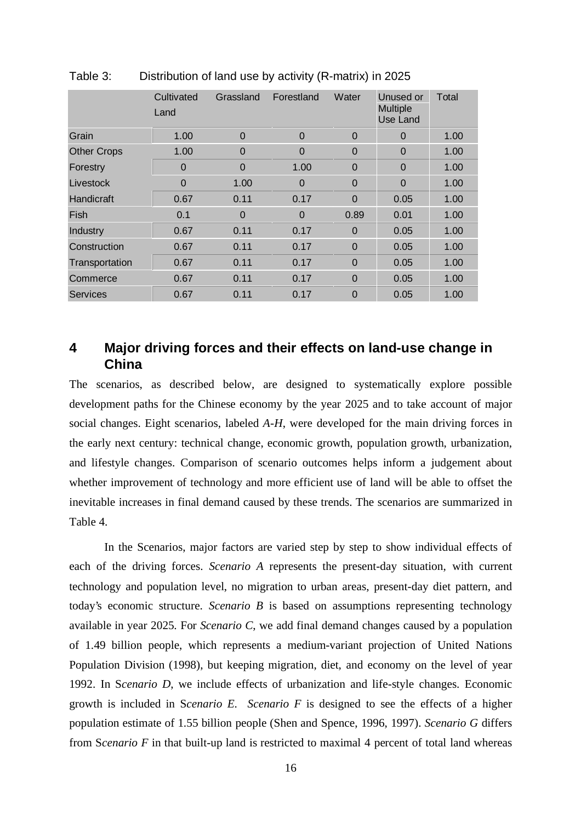|                    | Cultivated<br>Land | Grassland      | Forestland     | Water          | Unused or<br><b>Multiple</b><br>Use Land | Total |
|--------------------|--------------------|----------------|----------------|----------------|------------------------------------------|-------|
| Grain              | 1.00               | 0              | $\Omega$       | $\Omega$       | $\Omega$                                 | 1.00  |
| <b>Other Crops</b> | 1.00               | $\overline{0}$ | 0              | $\mathbf 0$    | $\Omega$                                 | 1.00  |
| Forestry           | $\Omega$           | $\overline{0}$ | 1.00           | $\Omega$       | $\overline{0}$                           | 1.00  |
| Livestock          | $\Omega$           | 1.00           | $\Omega$       | $\Omega$       | $\overline{0}$                           | 1.00  |
| Handicraft         | 0.67               | 0.11           | 0.17           | $\Omega$       | 0.05                                     | 1.00  |
| Fish               | 0.1                | 0              | $\overline{0}$ | 0.89           | 0.01                                     | 1.00  |
| Industry           | 0.67               | 0.11           | 0.17           | $\Omega$       | 0.05                                     | 1.00  |
| Construction       | 0.67               | 0.11           | 0.17           | $\Omega$       | 0.05                                     | 1.00  |
| Transportation     | 0.67               | 0.11           | 0.17           | $\Omega$       | 0.05                                     | 1.00  |
| Commerce           | 0.67               | 0.11           | 0.17           | $\overline{0}$ | 0.05                                     | 1.00  |
| <b>Services</b>    | 0.67               | 0.11           | 0.17           | $\Omega$       | 0.05                                     | 1.00  |

Table 3: Distribution of land use by activity (R-matrix) in 2025

## **4 Major driving forces and their effects on land-use change in China**

The scenarios, as described below, are designed to systematically explore possible development paths for the Chinese economy by the year 2025 and to take account of major social changes. Eight scenarios, labeled *A-H*, were developed for the main driving forces in the early next century: technical change, economic growth, population growth, urbanization, and lifestyle changes. Comparison of scenario outcomes helps inform a judgement about whether improvement of technology and more efficient use of land will be able to offset the inevitable increases in final demand caused by these trends. The scenarios are summarized in Table 4.

In the Scenarios, major factors are varied step by step to show individual effects of each of the driving forces. *Scenario A* represents the present-day situation, with current technology and population level, no migration to urban areas, present-day diet pattern, and today's economic structure. *Scenario B* is based on assumptions representing technology available in year 2025. For *Scenario C*, we add final demand changes caused by a population of 1.49 billion people, which represents a medium-variant projection of United Nations Population Division (1998), but keeping migration, diet, and economy on the level of year 1992. In S*cenario D*, we include effects of urbanization and life-style changes. Economic growth is included in S*cenario E*. *Scenario F* is designed to see the effects of a higher population estimate of 1.55 billion people (Shen and Spence, 1996, 1997). *Scenario G* differs from S*cenario F* in that built-up land is restricted to maximal 4 percent of total land whereas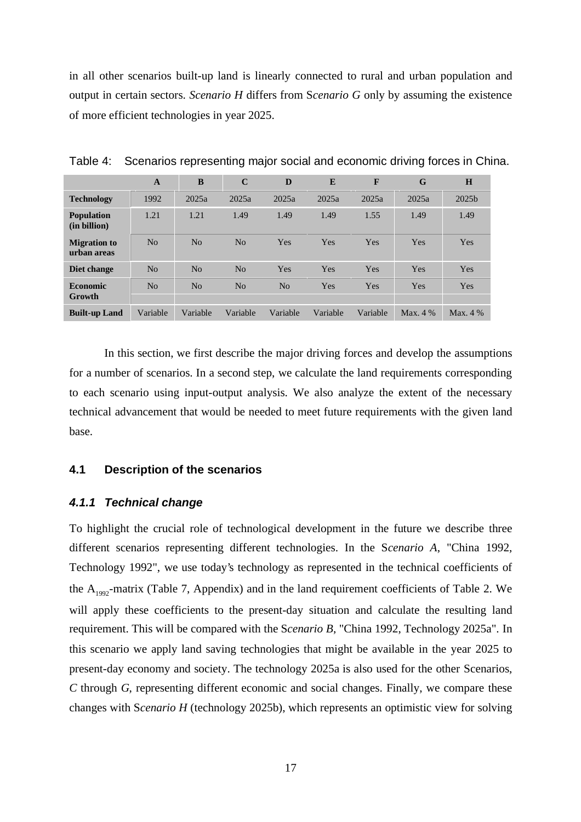in all other scenarios built-up land is linearly connected to rural and urban population and output in certain sectors. *Scenario H* differs from S*cenario G* only by assuming the existence of more efficient technologies in year 2025.

|                                    | A              | B              | $\mathbf C$    | D              | E        | F          | G          | H          |  |
|------------------------------------|----------------|----------------|----------------|----------------|----------|------------|------------|------------|--|
| <b>Technology</b>                  | 1992           | 2025a          | 2025a          | 2025a          | 2025a    | 2025a      | 2025a      | 2025b      |  |
| <b>Population</b><br>(in billion)  | 1.21           | 1.21           | 1.49           | 1.49           | 1.49     | 1.55       | 1.49       | 1.49       |  |
| <b>Migration to</b><br>urban areas | N <sub>0</sub> | N <sub>0</sub> | No             | Yes            | Yes      | Yes        | Yes        | Yes        |  |
| Diet change                        | N <sub>0</sub> | N <sub>0</sub> | N <sub>0</sub> | Yes            | Yes      | Yes        | Yes        | Yes        |  |
| <b>Economic</b><br>Growth          | No             | N <sub>0</sub> | No             | N <sub>0</sub> | Yes      | <b>Yes</b> | Yes        | Yes        |  |
| <b>Built-up Land</b>               | Variable       | Variable       | Variable       | Variable       | Variable | Variable   | Max. $4\%$ | Max. $4\%$ |  |

Table 4: Scenarios representing major social and economic driving forces in China.

In this section, we first describe the major driving forces and develop the assumptions for a number of scenarios. In a second step, we calculate the land requirements corresponding to each scenario using input-output analysis. We also analyze the extent of the necessary technical advancement that would be needed to meet future requirements with the given land base.

### **4.1 Description of the scenarios**

#### **4.1.1 Technical change**

To highlight the crucial role of technological development in the future we describe three different scenarios representing different technologies. In the S*cenario A*, "China 1992, Technology 1992", we use today's technology as represented in the technical coefficients of the  $A_{1992}$ -matrix (Table 7, Appendix) and in the land requirement coefficients of Table 2. We will apply these coefficients to the present-day situation and calculate the resulting land requirement. This will be compared with the S*cenario B*, "China 1992, Technology 2025a". In this scenario we apply land saving technologies that might be available in the year 2025 to present-day economy and society. The technology 2025a is also used for the other Scenarios, *C* through *G*, representing different economic and social changes. Finally, we compare these changes with S*cenario H* (technology 2025b), which represents an optimistic view for solving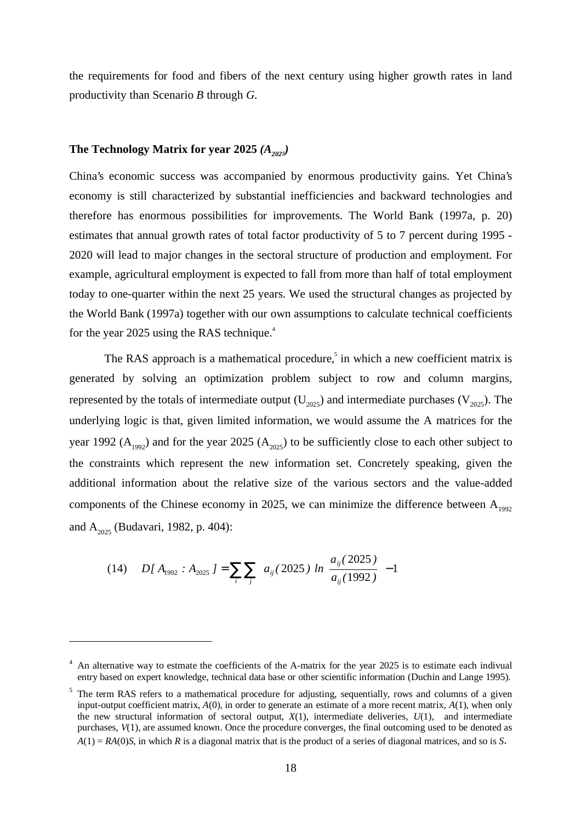the requirements for food and fibers of the next century using higher growth rates in land productivity than Scenario *B* through *G*.

## The Technology Matrix for year 2025  $(A_{_{2025}})$

China's economic success was accompanied by enormous productivity gains. Yet China's economy is still characterized by substantial inefficiencies and backward technologies and therefore has enormous possibilities for improvements. The World Bank (1997a, p. 20) estimates that annual growth rates of total factor productivity of 5 to 7 percent during 1995 - 2020 will lead to major changes in the sectoral structure of production and employment. For example, agricultural employment is expected to fall from more than half of total employment today to one-quarter within the next 25 years. We used the structural changes as projected by the World Bank (1997a) together with our own assumptions to calculate technical coefficients for the year 2025 using the RAS technique.<sup>4</sup>

The RAS approach is a mathematical procedure,<sup>5</sup> in which a new coefficient matrix is generated by solving an optimization problem subject to row and column margins, represented by the totals of intermediate output  $(U_{2025})$  and intermediate purchases  $(V_{2025})$ . The underlying logic is that, given limited information, we would assume the A matrices for the year 1992 ( $A_{199}$ ) and for the year 2025 ( $A_{2025}$ ) to be sufficiently close to each other subject to the constraints which represent the new information set. Concretely speaking, given the additional information about the relative size of the various sectors and the value-added components of the Chinese economy in 2025, we can minimize the difference between  $A_{1992}$ and  $A_{2025}$  (Budavari, 1982, p. 404):

$$
(14) \quad D[A_{1992} : A_{2025}] = \sum_{i} \sum_{j} \left\{ a_{ij} (2025) \left[ ln \left( \frac{a_{ij} (2025)}{a_{ij} (1992)} \right) - 1 \right] \right\}
$$

 $\overline{a}$ 

<sup>&</sup>lt;sup>4</sup> An alternative way to estmate the coefficients of the A-matrix for the year 2025 is to estimate each indivual entry based on expert knowledge, technical data base or other scientific information (Duchin and Lange 1995).

<sup>&</sup>lt;sup>5</sup> The term RAS refers to a mathematical procedure for adjusting, sequentially, rows and columns of a given input-output coefficient matrix, *A*(0), in order to generate an estimate of a more recent matrix, *A*(1), when only the new structural information of sectoral output,  $X(1)$ , intermediate deliveries,  $U(1)$ , and intermediate purchases, *V*(1), are assumed known. Once the procedure converges, the final outcoming used to be denoted as *A*(1) = *RA*(0)*S*, in which *R* is a diagonal matrix that is the product of a series of diagonal matrices, and so is *S*.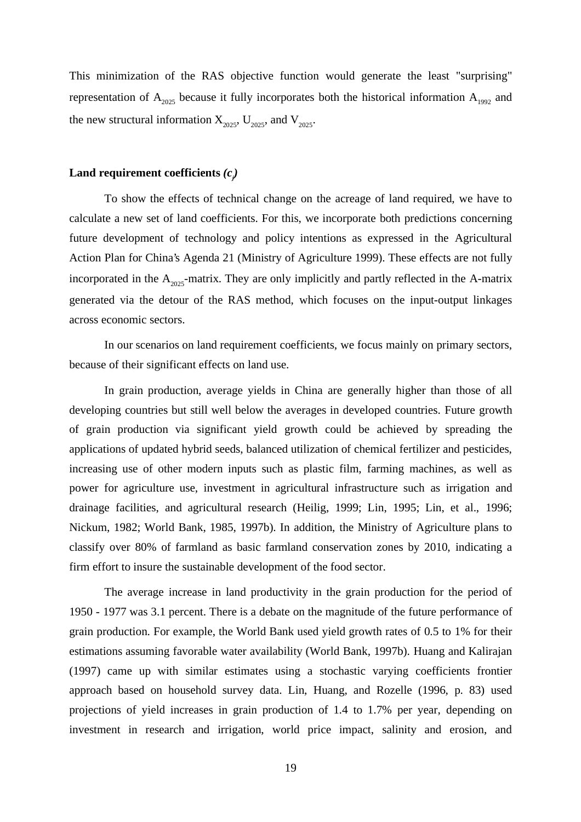This minimization of the RAS objective function would generate the least "surprising" representation of  $A_{2025}$  because it fully incorporates both the historical information  $A_{1992}$  and the new structural information  $X_{2025}$ ,  $U_{2025}$ , and  $V_{2025}$ .

## $\bf{Land\,\, requirement\,\,coefficients}\,(c_j)$

To show the effects of technical change on the acreage of land required, we have to calculate a new set of land coefficients. For this, we incorporate both predictions concerning future development of technology and policy intentions as expressed in the Agricultural Action Plan for China's Agenda 21 (Ministry of Agriculture 1999). These effects are not fully incorporated in the  $A_{2025}$ -matrix. They are only implicitly and partly reflected in the A-matrix generated via the detour of the RAS method, which focuses on the input-output linkages across economic sectors.

In our scenarios on land requirement coefficients, we focus mainly on primary sectors, because of their significant effects on land use.

In grain production, average yields in China are generally higher than those of all developing countries but still well below the averages in developed countries. Future growth of grain production via significant yield growth could be achieved by spreading the applications of updated hybrid seeds, balanced utilization of chemical fertilizer and pesticides, increasing use of other modern inputs such as plastic film, farming machines, as well as power for agriculture use, investment in agricultural infrastructure such as irrigation and drainage facilities, and agricultural research (Heilig, 1999; Lin, 1995; Lin, et al., 1996; Nickum, 1982; World Bank, 1985, 1997b). In addition, the Ministry of Agriculture plans to classify over 80% of farmland as basic farmland conservation zones by 2010, indicating a firm effort to insure the sustainable development of the food sector.

The average increase in land productivity in the grain production for the period of 1950 - 1977 was 3.1 percent. There is a debate on the magnitude of the future performance of grain production. For example, the World Bank used yield growth rates of 0.5 to 1% for their estimations assuming favorable water availability (World Bank, 1997b). Huang and Kalirajan (1997) came up with similar estimates using a stochastic varying coefficients frontier approach based on household survey data. Lin, Huang, and Rozelle (1996, p. 83) used projections of yield increases in grain production of 1.4 to 1.7% per year, depending on investment in research and irrigation, world price impact, salinity and erosion, and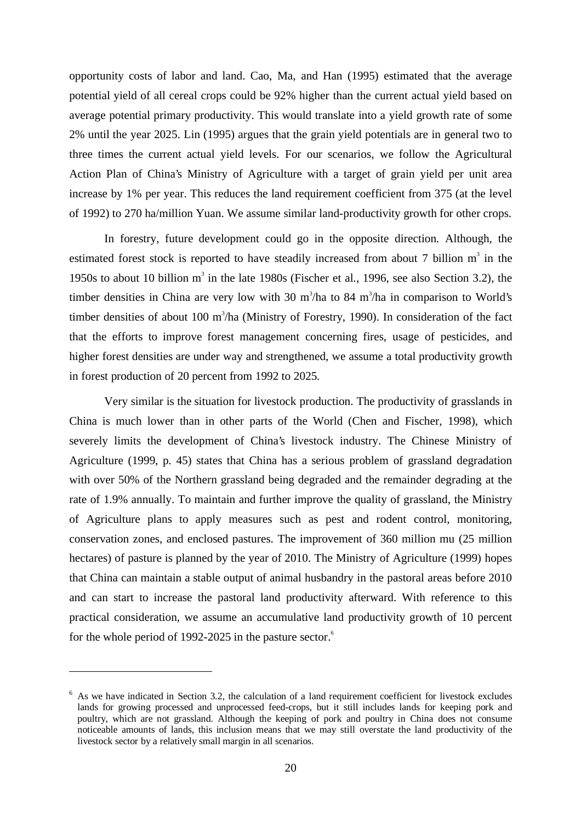opportunity costs of labor and land. Cao, Ma, and Han (1995) estimated that the average potential yield of all cereal crops could be 92% higher than the current actual yield based on average potential primary productivity. This would translate into a yield growth rate of some 2% until the year 2025. Lin (1995) argues that the grain yield potentials are in general two to three times the current actual yield levels. For our scenarios, we follow the Agricultural Action Plan of China's Ministry of Agriculture with a target of grain yield per unit area increase by 1% per year. This reduces the land requirement coefficient from 375 (at the level of 1992) to 270 ha/million Yuan. We assume similar land-productivity growth for other crops.

In forestry, future development could go in the opposite direction. Although, the estimated forest stock is reported to have steadily increased from about 7 billion  $m<sup>3</sup>$  in the 1950s to about 10 billion  $m^3$  in the late 1980s (Fischer et al., 1996, see also Section 3.2), the timber densities in China are very low with 30  $m^3/ha$  to 84  $m^3/ha$  in comparison to World's timber densities of about 100 m<sup>3</sup>/ha (Ministry of Forestry, 1990). In consideration of the fact that the efforts to improve forest management concerning fires, usage of pesticides, and higher forest densities are under way and strengthened, we assume a total productivity growth in forest production of 20 percent from 1992 to 2025.

Very similar is the situation for livestock production. The productivity of grasslands in China is much lower than in other parts of the World (Chen and Fischer, 1998), which severely limits the development of China's livestock industry. The Chinese Ministry of Agriculture (1999, p. 45) states that China has a serious problem of grassland degradation with over 50% of the Northern grassland being degraded and the remainder degrading at the rate of 1.9% annually. To maintain and further improve the quality of grassland, the Ministry of Agriculture plans to apply measures such as pest and rodent control, monitoring, conservation zones, and enclosed pastures. The improvement of 360 million mu (25 million hectares) of pasture is planned by the year of 2010. The Ministry of Agriculture (1999) hopes that China can maintain a stable output of animal husbandry in the pastoral areas before 2010 and can start to increase the pastoral land productivity afterward. With reference to this practical consideration, we assume an accumulative land productivity growth of 10 percent for the whole period of 1992-2025 in the pasture sector.<sup>6</sup>

 $\overline{a}$ 

 $6$  As we have indicated in Section 3.2, the calculation of a land requirement coefficient for livestock excludes lands for growing processed and unprocessed feed-crops, but it still includes lands for keeping pork and poultry, which are not grassland. Although the keeping of pork and poultry in China does not consume noticeable amounts of lands, this inclusion means that we may still overstate the land productivity of the livestock sector by a relatively small margin in all scenarios.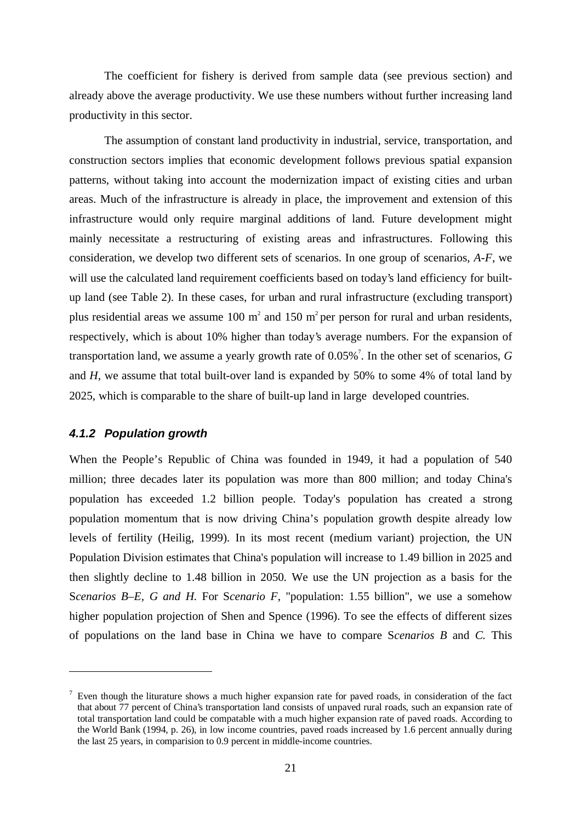The coefficient for fishery is derived from sample data (see previous section) and already above the average productivity. We use these numbers without further increasing land productivity in this sector.

The assumption of constant land productivity in industrial, service, transportation, and construction sectors implies that economic development follows previous spatial expansion patterns, without taking into account the modernization impact of existing cities and urban areas. Much of the infrastructure is already in place, the improvement and extension of this infrastructure would only require marginal additions of land. Future development might mainly necessitate a restructuring of existing areas and infrastructures. Following this consideration, we develop two different sets of scenarios. In one group of scenarios, *A-F*, we will use the calculated land requirement coefficients based on today's land efficiency for builtup land (see Table 2). In these cases, for urban and rural infrastructure (excluding transport) plus residential areas we assume 100  $m^2$  and 150  $m^2$  per person for rural and urban residents, respectively, which is about 10% higher than today's average numbers. For the expansion of transportation land, we assume a yearly growth rate of 0.05%<sup>7</sup>. In the other set of scenarios, G and *H*, we assume that total built-over land is expanded by 50% to some 4% of total land by 2025, which is comparable to the share of built-up land in large developed countries.

### **4.1.2 Population growth**

 $\overline{a}$ 

When the People's Republic of China was founded in 1949, it had a population of 540 million; three decades later its population was more than 800 million; and today China's population has exceeded 1.2 billion people. Today's population has created a strong population momentum that is now driving China's population growth despite already low levels of fertility (Heilig, 1999). In its most recent (medium variant) projection, the UN Population Division estimates that China's population will increase to 1.49 billion in 2025 and then slightly decline to 1.48 billion in 2050. We use the UN projection as a basis for the S*cenarios B–E, G and H*. For S*cenario F*, "population: 1.55 billion", we use a somehow higher population projection of Shen and Spence (1996). To see the effects of different sizes of populations on the land base in China we have to compare S*cenarios B* and *C.* This

 $<sup>7</sup>$  Even though the liturature shows a much higher expansion rate for paved roads, in consideration of the fact</sup> that about 77 percent of China's transportation land consists of unpaved rural roads, such an expansion rate of total transportation land could be compatable with a much higher expansion rate of paved roads. According to the World Bank (1994, p. 26), in low income countries, paved roads increased by 1.6 percent annually during the last 25 years, in comparision to 0.9 percent in middle-income countries.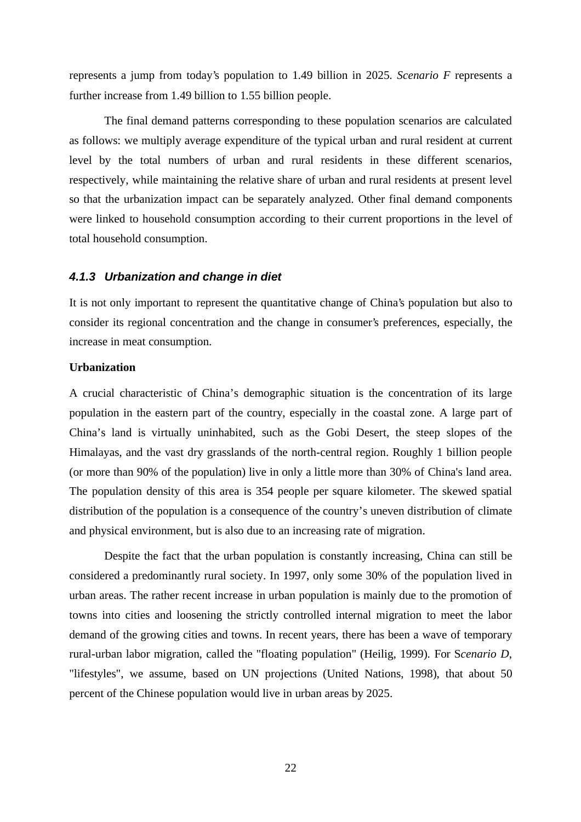represents a jump from today's population to 1.49 billion in 2025. *Scenario F* represents a further increase from 1.49 billion to 1.55 billion people.

The final demand patterns corresponding to these population scenarios are calculated as follows: we multiply average expenditure of the typical urban and rural resident at current level by the total numbers of urban and rural residents in these different scenarios, respectively, while maintaining the relative share of urban and rural residents at present level so that the urbanization impact can be separately analyzed. Other final demand components were linked to household consumption according to their current proportions in the level of total household consumption.

#### **4.1.3 Urbanization and change in diet**

It is not only important to represent the quantitative change of China's population but also to consider its regional concentration and the change in consumer's preferences, especially, the increase in meat consumption.

#### **Urbanization**

A crucial characteristic of China's demographic situation is the concentration of its large population in the eastern part of the country, especially in the coastal zone. A large part of China's land is virtually uninhabited, such as the Gobi Desert, the steep slopes of the Himalayas, and the vast dry grasslands of the north-central region. Roughly 1 billion people (or more than 90% of the population) live in only a little more than 30% of China's land area. The population density of this area is 354 people per square kilometer. The skewed spatial distribution of the population is a consequence of the country's uneven distribution of climate and physical environment, but is also due to an increasing rate of migration.

Despite the fact that the urban population is constantly increasing, China can still be considered a predominantly rural society. In 1997, only some 30% of the population lived in urban areas. The rather recent increase in urban population is mainly due to the promotion of towns into cities and loosening the strictly controlled internal migration to meet the labor demand of the growing cities and towns. In recent years, there has been a wave of temporary rural-urban labor migration, called the "floating population" (Heilig, 1999). For S*cenario D*, "lifestyles", we assume, based on UN projections (United Nations, 1998), that about 50 percent of the Chinese population would live in urban areas by 2025.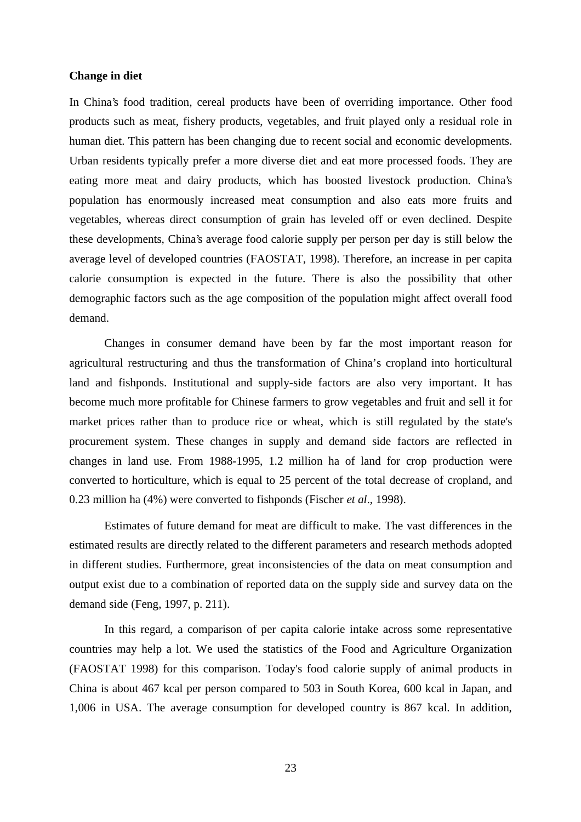### **Change in diet**

In China's food tradition, cereal products have been of overriding importance. Other food products such as meat, fishery products, vegetables, and fruit played only a residual role in human diet. This pattern has been changing due to recent social and economic developments. Urban residents typically prefer a more diverse diet and eat more processed foods. They are eating more meat and dairy products, which has boosted livestock production. China's population has enormously increased meat consumption and also eats more fruits and vegetables, whereas direct consumption of grain has leveled off or even declined. Despite these developments, China's average food calorie supply per person per day is still below the average level of developed countries (FAOSTAT, 1998). Therefore, an increase in per capita calorie consumption is expected in the future. There is also the possibility that other demographic factors such as the age composition of the population might affect overall food demand.

Changes in consumer demand have been by far the most important reason for agricultural restructuring and thus the transformation of China's cropland into horticultural land and fishponds. Institutional and supply-side factors are also very important. It has become much more profitable for Chinese farmers to grow vegetables and fruit and sell it for market prices rather than to produce rice or wheat, which is still regulated by the state's procurement system. These changes in supply and demand side factors are reflected in changes in land use. From 1988-1995, 1.2 million ha of land for crop production were converted to horticulture, which is equal to 25 percent of the total decrease of cropland, and 0.23 million ha (4%) were converted to fishponds (Fischer *et al*., 1998).

Estimates of future demand for meat are difficult to make. The vast differences in the estimated results are directly related to the different parameters and research methods adopted in different studies. Furthermore, great inconsistencies of the data on meat consumption and output exist due to a combination of reported data on the supply side and survey data on the demand side (Feng, 1997, p. 211).

In this regard, a comparison of per capita calorie intake across some representative countries may help a lot. We used the statistics of the Food and Agriculture Organization (FAOSTAT 1998) for this comparison. Today's food calorie supply of animal products in China is about 467 kcal per person compared to 503 in South Korea, 600 kcal in Japan, and 1,006 in USA. The average consumption for developed country is 867 kcal. In addition,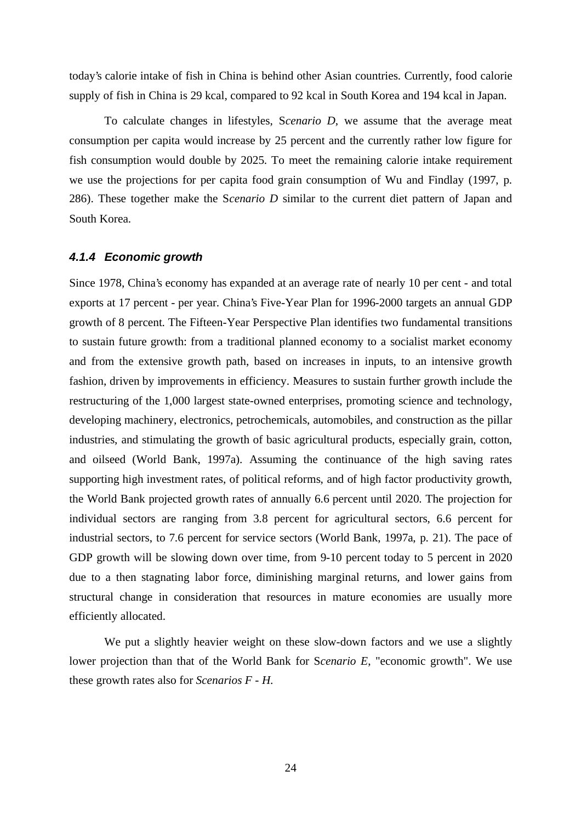today's calorie intake of fish in China is behind other Asian countries. Currently, food calorie supply of fish in China is 29 kcal, compared to 92 kcal in South Korea and 194 kcal in Japan.

To calculate changes in lifestyles, S*cenario D*, we assume that the average meat consumption per capita would increase by 25 percent and the currently rather low figure for fish consumption would double by 2025. To meet the remaining calorie intake requirement we use the projections for per capita food grain consumption of Wu and Findlay (1997, p. 286). These together make the S*cenario D* similar to the current diet pattern of Japan and South Korea.

#### **4.1.4 Economic growth**

Since 1978, China's economy has expanded at an average rate of nearly 10 per cent - and total exports at 17 percent - per year. China's Five-Year Plan for 1996-2000 targets an annual GDP growth of 8 percent. The Fifteen-Year Perspective Plan identifies two fundamental transitions to sustain future growth: from a traditional planned economy to a socialist market economy and from the extensive growth path, based on increases in inputs, to an intensive growth fashion, driven by improvements in efficiency. Measures to sustain further growth include the restructuring of the 1,000 largest state-owned enterprises, promoting science and technology, developing machinery, electronics, petrochemicals, automobiles, and construction as the pillar industries, and stimulating the growth of basic agricultural products, especially grain, cotton, and oilseed (World Bank, 1997a). Assuming the continuance of the high saving rates supporting high investment rates, of political reforms, and of high factor productivity growth, the World Bank projected growth rates of annually 6.6 percent until 2020. The projection for individual sectors are ranging from 3.8 percent for agricultural sectors, 6.6 percent for industrial sectors, to 7.6 percent for service sectors (World Bank, 1997a, p. 21). The pace of GDP growth will be slowing down over time, from 9-10 percent today to 5 percent in 2020 due to a then stagnating labor force, diminishing marginal returns, and lower gains from structural change in consideration that resources in mature economies are usually more efficiently allocated.

We put a slightly heavier weight on these slow-down factors and we use a slightly lower projection than that of the World Bank for S*cenario E*, "economic growth". We use these growth rates also for *Scenarios F - H*.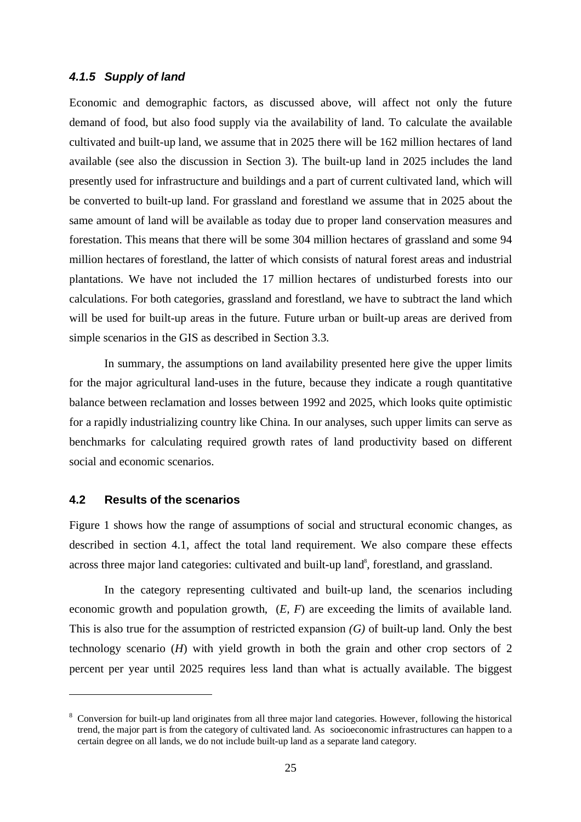### **4.1.5 Supply of land**

Economic and demographic factors, as discussed above, will affect not only the future demand of food, but also food supply via the availability of land. To calculate the available cultivated and built-up land, we assume that in 2025 there will be 162 million hectares of land available (see also the discussion in Section 3). The built-up land in 2025 includes the land presently used for infrastructure and buildings and a part of current cultivated land, which will be converted to built-up land. For grassland and forestland we assume that in 2025 about the same amount of land will be available as today due to proper land conservation measures and forestation. This means that there will be some 304 million hectares of grassland and some 94 million hectares of forestland, the latter of which consists of natural forest areas and industrial plantations. We have not included the 17 million hectares of undisturbed forests into our calculations. For both categories, grassland and forestland, we have to subtract the land which will be used for built-up areas in the future. Future urban or built-up areas are derived from simple scenarios in the GIS as described in Section 3.3.

In summary, the assumptions on land availability presented here give the upper limits for the major agricultural land-uses in the future, because they indicate a rough quantitative balance between reclamation and losses between 1992 and 2025, which looks quite optimistic for a rapidly industrializing country like China. In our analyses, such upper limits can serve as benchmarks for calculating required growth rates of land productivity based on different social and economic scenarios.

### **4.2 Results of the scenarios**

 $\overline{a}$ 

Figure 1 shows how the range of assumptions of social and structural economic changes, as described in section 4.1, affect the total land requirement. We also compare these effects across three major land categories: cultivated and built-up land<sup>8</sup>, forestland, and grassland.

In the category representing cultivated and built-up land, the scenarios including economic growth and population growth, (*E, F*) are exceeding the limits of available land. This is also true for the assumption of restricted expansion *(G)* of built-up land. Only the best technology scenario (*H*) with yield growth in both the grain and other crop sectors of 2 percent per year until 2025 requires less land than what is actually available. The biggest

<sup>8</sup> Conversion for built-up land originates from all three major land categories. However, following the historical trend, the major part is from the category of cultivated land. As socioeconomic infrastructures can happen to a certain degree on all lands, we do not include built-up land as a separate land category.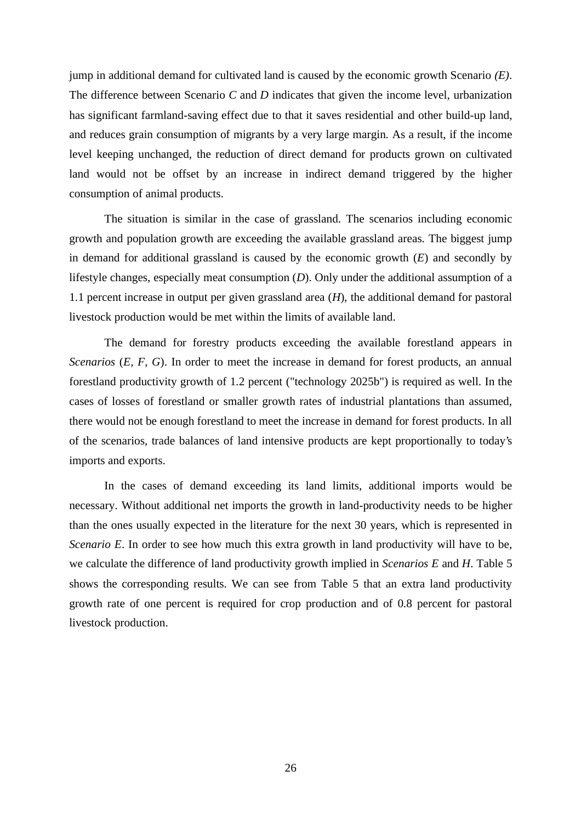jump in additional demand for cultivated land is caused by the economic growth Scenario *(E)*. The difference between Scenario *C* and *D* indicates that given the income level, urbanization has significant farmland-saving effect due to that it saves residential and other build-up land, and reduces grain consumption of migrants by a very large margin. As a result, if the income level keeping unchanged, the reduction of direct demand for products grown on cultivated land would not be offset by an increase in indirect demand triggered by the higher consumption of animal products.

The situation is similar in the case of grassland. The scenarios including economic growth and population growth are exceeding the available grassland areas. The biggest jump in demand for additional grassland is caused by the economic growth (*E*) and secondly by lifestyle changes, especially meat consumption (*D*). Only under the additional assumption of a 1.1 percent increase in output per given grassland area (*H*), the additional demand for pastoral livestock production would be met within the limits of available land.

The demand for forestry products exceeding the available forestland appears in *Scenarios* (*E, F, G*). In order to meet the increase in demand for forest products, an annual forestland productivity growth of 1.2 percent ("technology 2025b") is required as well. In the cases of losses of forestland or smaller growth rates of industrial plantations than assumed, there would not be enough forestland to meet the increase in demand for forest products. In all of the scenarios, trade balances of land intensive products are kept proportionally to today's imports and exports.

In the cases of demand exceeding its land limits, additional imports would be necessary. Without additional net imports the growth in land-productivity needs to be higher than the ones usually expected in the literature for the next 30 years, which is represented in *Scenario E*. In order to see how much this extra growth in land productivity will have to be, we calculate the difference of land productivity growth implied in *Scenarios E* and *H*. Table 5 shows the corresponding results. We can see from Table 5 that an extra land productivity growth rate of one percent is required for crop production and of 0.8 percent for pastoral livestock production.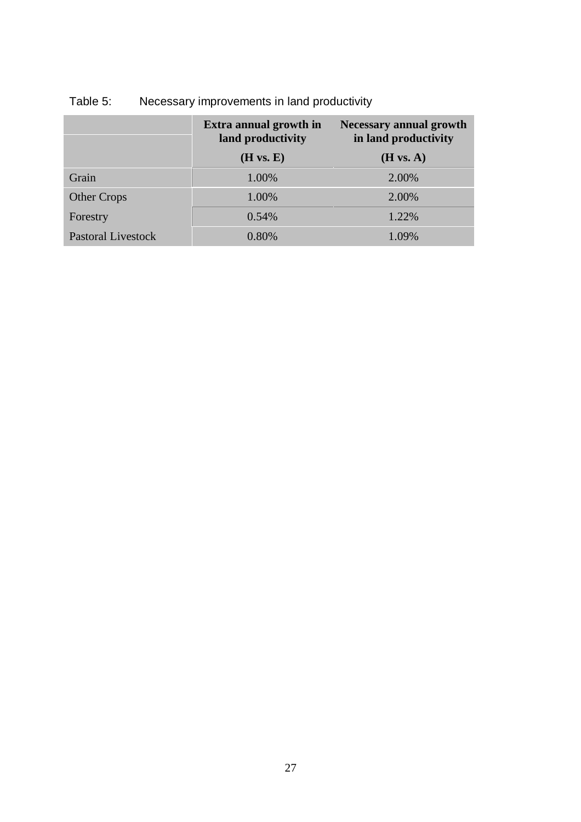|                    | Extra annual growth in<br>land productivity | <b>Necessary annual growth</b><br>in land productivity |
|--------------------|---------------------------------------------|--------------------------------------------------------|
|                    | (H vs. E)                                   | (H vs. A)                                              |
| Grain              | 1.00%                                       | 2.00%                                                  |
| <b>Other Crops</b> | 1.00%                                       | 2.00%                                                  |
| Forestry           | 0.54%                                       | 1.22%                                                  |
| Pastoral Livestock | 0.80%                                       | 1.09%                                                  |

# Table 5: Necessary improvements in land productivity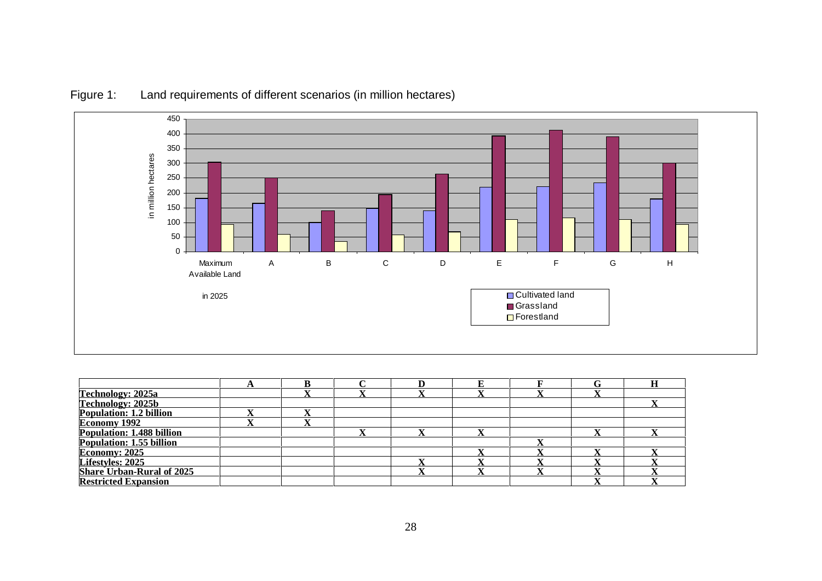

## Figure 1: Land requirements of different scenarios (in million hectares)

| Technology: 2025a                                             |  |  |  |  |
|---------------------------------------------------------------|--|--|--|--|
|                                                               |  |  |  |  |
| Technology: 2025b<br>Population: 1.2 billion                  |  |  |  |  |
| Economy 1992                                                  |  |  |  |  |
| <b>Population: 1.488 billion<br/>Population: 1.55 billion</b> |  |  |  |  |
|                                                               |  |  |  |  |
| <b>Economy: 2025</b>                                          |  |  |  |  |
| Lifestyles: 2025                                              |  |  |  |  |
| Share Urban-Rural of 2025                                     |  |  |  |  |
| <b>Restricted Expansion</b>                                   |  |  |  |  |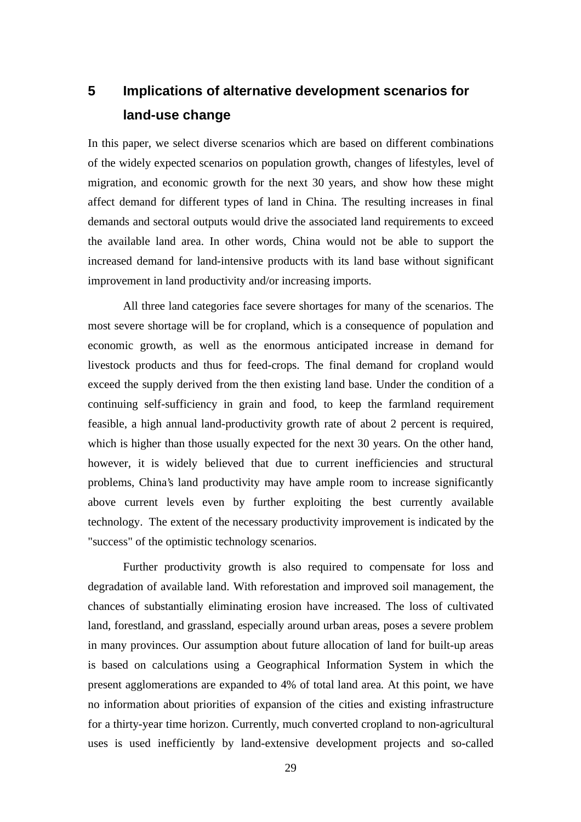# **5 Implications of alternative development scenarios for land-use change**

In this paper, we select diverse scenarios which are based on different combinations of the widely expected scenarios on population growth, changes of lifestyles, level of migration, and economic growth for the next 30 years, and show how these might affect demand for different types of land in China. The resulting increases in final demands and sectoral outputs would drive the associated land requirements to exceed the available land area. In other words, China would not be able to support the increased demand for land-intensive products with its land base without significant improvement in land productivity and/or increasing imports.

All three land categories face severe shortages for many of the scenarios. The most severe shortage will be for cropland, which is a consequence of population and economic growth, as well as the enormous anticipated increase in demand for livestock products and thus for feed-crops. The final demand for cropland would exceed the supply derived from the then existing land base. Under the condition of a continuing self-sufficiency in grain and food, to keep the farmland requirement feasible, a high annual land-productivity growth rate of about 2 percent is required, which is higher than those usually expected for the next 30 years. On the other hand, however, it is widely believed that due to current inefficiencies and structural problems, China's land productivity may have ample room to increase significantly above current levels even by further exploiting the best currently available technology. The extent of the necessary productivity improvement is indicated by the "success" of the optimistic technology scenarios.

Further productivity growth is also required to compensate for loss and degradation of available land. With reforestation and improved soil management, the chances of substantially eliminating erosion have increased. The loss of cultivated land, forestland, and grassland, especially around urban areas, poses a severe problem in many provinces. Our assumption about future allocation of land for built-up areas is based on calculations using a Geographical Information System in which the present agglomerations are expanded to 4% of total land area. At this point, we have no information about priorities of expansion of the cities and existing infrastructure for a thirty-year time horizon. Currently, much converted cropland to non-agricultural uses is used inefficiently by land-extensive development projects and so-called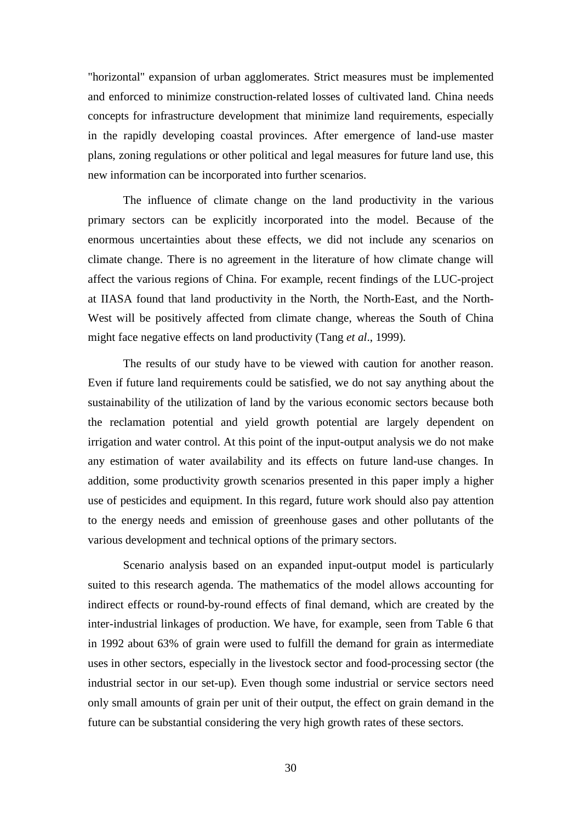"horizontal" expansion of urban agglomerates. Strict measures must be implemented and enforced to minimize construction-related losses of cultivated land. China needs concepts for infrastructure development that minimize land requirements, especially in the rapidly developing coastal provinces. After emergence of land-use master plans, zoning regulations or other political and legal measures for future land use, this new information can be incorporated into further scenarios.

The influence of climate change on the land productivity in the various primary sectors can be explicitly incorporated into the model. Because of the enormous uncertainties about these effects, we did not include any scenarios on climate change. There is no agreement in the literature of how climate change will affect the various regions of China. For example, recent findings of the LUC-project at IIASA found that land productivity in the North, the North-East, and the North-West will be positively affected from climate change, whereas the South of China might face negative effects on land productivity (Tang *et al*., 1999).

The results of our study have to be viewed with caution for another reason. Even if future land requirements could be satisfied, we do not say anything about the sustainability of the utilization of land by the various economic sectors because both the reclamation potential and yield growth potential are largely dependent on irrigation and water control. At this point of the input-output analysis we do not make any estimation of water availability and its effects on future land-use changes. In addition, some productivity growth scenarios presented in this paper imply a higher use of pesticides and equipment. In this regard, future work should also pay attention to the energy needs and emission of greenhouse gases and other pollutants of the various development and technical options of the primary sectors.

Scenario analysis based on an expanded input-output model is particularly suited to this research agenda. The mathematics of the model allows accounting for indirect effects or round-by-round effects of final demand, which are created by the inter-industrial linkages of production. We have, for example, seen from Table 6 that in 1992 about 63% of grain were used to fulfill the demand for grain as intermediate uses in other sectors, especially in the livestock sector and food-processing sector (the industrial sector in our set-up). Even though some industrial or service sectors need only small amounts of grain per unit of their output, the effect on grain demand in the future can be substantial considering the very high growth rates of these sectors.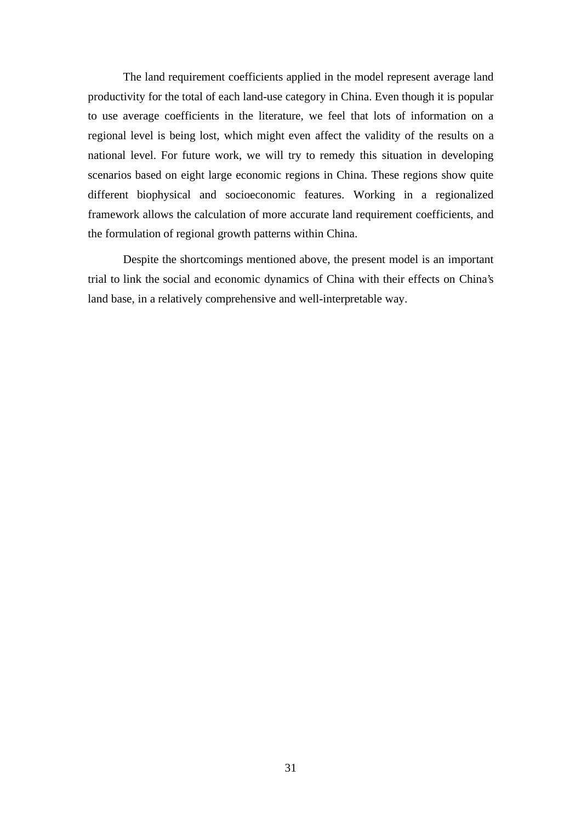The land requirement coefficients applied in the model represent average land productivity for the total of each land-use category in China. Even though it is popular to use average coefficients in the literature, we feel that lots of information on a regional level is being lost, which might even affect the validity of the results on a national level. For future work, we will try to remedy this situation in developing scenarios based on eight large economic regions in China. These regions show quite different biophysical and socioeconomic features. Working in a regionalized framework allows the calculation of more accurate land requirement coefficients, and the formulation of regional growth patterns within China.

Despite the shortcomings mentioned above, the present model is an important trial to link the social and economic dynamics of China with their effects on China's land base, in a relatively comprehensive and well-interpretable way.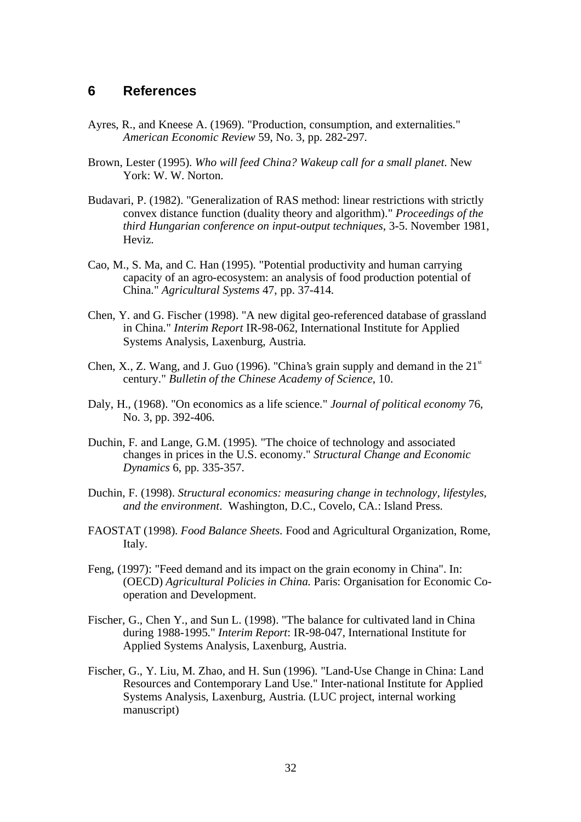## **6 References**

- Ayres, R., and Kneese A. (1969). "Production, consumption, and externalities." *American Economic Review* 59, No. 3, pp. 282-297.
- Brown, Lester (1995). *Who will feed China? Wakeup call for a small planet*. New York: W. W. Norton.
- Budavari, P. (1982). "Generalization of RAS method: linear restrictions with strictly convex distance function (duality theory and algorithm)." *Proceedings of the third Hungarian conference on input-output techniques*, 3-5. November 1981, Heviz.
- Cao, M., S. Ma, and C. Han (1995). "Potential productivity and human carrying capacity of an agro-ecosystem: an analysis of food production potential of China." *Agricultural Systems* 47, pp. 37-414.
- Chen, Y. and G. Fischer (1998). "A new digital geo-referenced database of grassland in China." *Interim Report* IR-98-062, International Institute for Applied Systems Analysis, Laxenburg, Austria.
- Chen, X., Z. Wang, and J. Guo (1996). "China's grain supply and demand in the  $21<sup>st</sup>$ century." *Bulletin of the Chinese Academy of Science*, 10.
- Daly, H., (1968). "On economics as a life science." *Journal of political economy* 76, No. 3, pp. 392-406.
- Duchin, F. and Lange, G.M. (1995). "The choice of technology and associated changes in prices in the U.S. economy." *Structural Change and Economic Dynamics* 6, pp. 335-357.
- Duchin, F. (1998). *Structural economics: measuring change in technology, lifestyles, and the environment*. Washington, D.C., Covelo, CA.: Island Press.
- FAOSTAT (1998). *Food Balance Sheets*. Food and Agricultural Organization, Rome, Italy.
- Feng, (1997): "Feed demand and its impact on the grain economy in China". In: (OECD) *Agricultural Policies in China.* Paris: Organisation for Economic Cooperation and Development.
- Fischer, G., Chen Y., and Sun L. (1998). "The balance for cultivated land in China during 1988-1995." *Interim Report*: IR-98-047, International Institute for Applied Systems Analysis, Laxenburg, Austria.
- Fischer, G., Y. Liu, M. Zhao, and H. Sun (1996). "Land-Use Change in China: Land Resources and Contemporary Land Use." Inter-national Institute for Applied Systems Analysis, Laxenburg, Austria. (LUC project, internal working manuscript)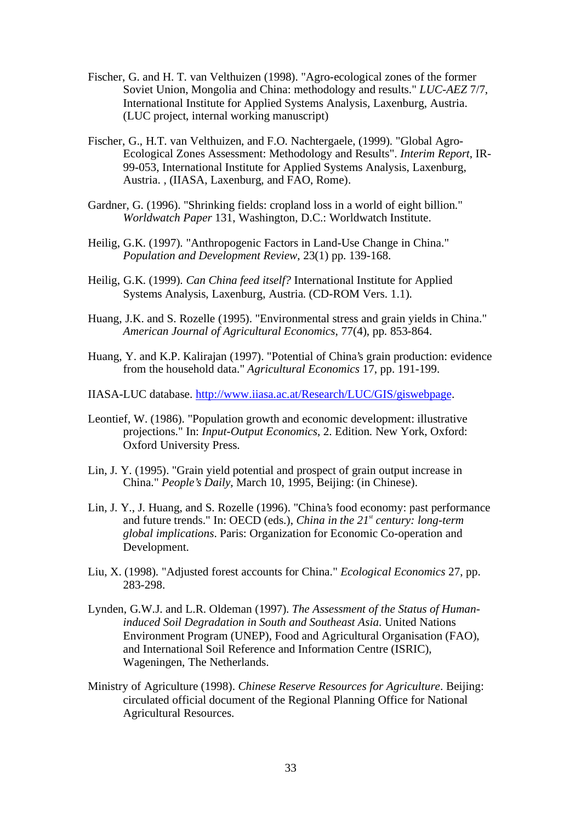- Fischer, G. and H. T. van Velthuizen (1998). "Agro-ecological zones of the former Soviet Union, Mongolia and China: methodology and results." *LUC-AEZ* 7/7, International Institute for Applied Systems Analysis, Laxenburg, Austria. (LUC project, internal working manuscript)
- Fischer, G., H.T. van Velthuizen, and F.O. Nachtergaele, (1999). "Global Agro-Ecological Zones Assessment: Methodology and Results". *Interim Report*, IR-99-053, International Institute for Applied Systems Analysis, Laxenburg, Austria. , (IIASA, Laxenburg, and FAO, Rome).
- Gardner, G. (1996). "Shrinking fields: cropland loss in a world of eight billion." *Worldwatch Paper* 131, Washington, D.C.: Worldwatch Institute.
- Heilig, G.K. (1997). "Anthropogenic Factors in Land-Use Change in China." *Population and Development Review*, 23(1) pp. 139-168.
- Heilig, G.K. (1999). *Can China feed itself?* International Institute for Applied Systems Analysis, Laxenburg, Austria. (CD-ROM Vers. 1.1).
- Huang, J.K. and S. Rozelle (1995). "Environmental stress and grain yields in China." *American Journal of Agricultural Economics*, 77(4), pp. 853-864.
- Huang, Y. and K.P. Kalirajan (1997). "Potential of China's grain production: evidence from the household data." *Agricultural Economics* 17, pp. 191-199.
- IIASA-LUC database. http://www.iiasa.ac.at/Research/LUC/GIS/giswebpage.
- Leontief, W. (1986). "Population growth and economic development: illustrative projections." In: *Input-Output Economics*, 2. Edition. New York, Oxford: Oxford University Press.
- Lin, J. Y. (1995). "Grain yield potential and prospect of grain output increase in China." *People's Daily*, March 10, 1995, Beijing: (in Chinese).
- Lin, J. Y., J. Huang, and S. Rozelle (1996). "China's food economy: past performance and future trends." In: OECD (eds.), *China in the 21<sup>st</sup> century: long-term global implications*. Paris: Organization for Economic Co-operation and Development.
- Liu, X. (1998). "Adjusted forest accounts for China." *Ecological Economics* 27, pp. 283-298.
- Lynden, G.W.J. and L.R. Oldeman (1997). *The Assessment of the Status of Humaninduced Soil Degradation in South and Southeast Asia*. United Nations Environment Program (UNEP), Food and Agricultural Organisation (FAO), and International Soil Reference and Information Centre (ISRIC), Wageningen, The Netherlands.
- Ministry of Agriculture (1998). *Chinese Reserve Resources for Agriculture*. Beijing: circulated official document of the Regional Planning Office for National Agricultural Resources.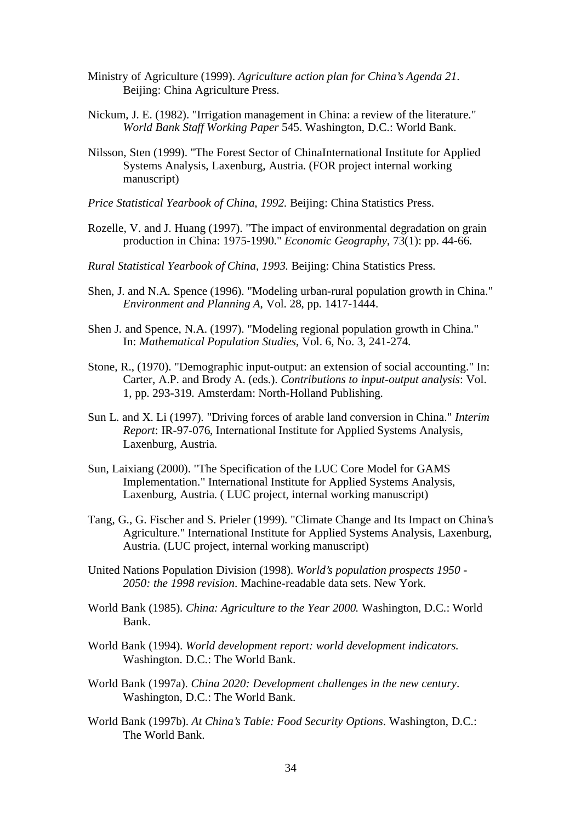- Ministry of Agriculture (1999). *Agriculture action plan for China's Agenda 21*. Beiling: China Agriculture Press.
- Nickum, J. E. (1982). "Irrigation management in China: a review of the literature." *World Bank Staff Working Paper* 545. Washington, D.C.: World Bank.
- Nilsson, Sten (1999). "The Forest Sector of ChinaInternational Institute for Applied Systems Analysis, Laxenburg, Austria. (FOR project internal working manuscript)
- *Price Statistical Yearbook of China, 1992*. Beijing: China Statistics Press.
- Rozelle, V. and J. Huang (1997). "The impact of environmental degradation on grain production in China: 1975-1990." *Economic Geography*, 73(1): pp. 44-66.
- *Rural Statistical Yearbook of China, 1993*. Beijing: China Statistics Press.
- Shen, J. and N.A. Spence (1996). "Modeling urban-rural population growth in China." *Environment and Planning A*, Vol. 28, pp. 1417-1444.
- Shen J. and Spence, N.A. (1997). "Modeling regional population growth in China." In: *Mathematical Population Studies*, Vol. 6, No. 3, 241-274.
- Stone, R., (1970). "Demographic input-output: an extension of social accounting." In: Carter, A.P. and Brody A. (eds.). *Contributions to input-output analysis*: Vol. 1, pp. 293-319. Amsterdam: North-Holland Publishing.
- Sun L. and X. Li (1997). "Driving forces of arable land conversion in China." *Interim Report*: IR-97-076, International Institute for Applied Systems Analysis, Laxenburg, Austria.
- Sun, Laixiang (2000). "The Specification of the LUC Core Model for GAMS Implementation." International Institute for Applied Systems Analysis, Laxenburg, Austria. ( LUC project, internal working manuscript)
- Tang, G., G. Fischer and S. Prieler (1999). "Climate Change and Its Impact on China's Agriculture." International Institute for Applied Systems Analysis, Laxenburg, Austria. (LUC project, internal working manuscript)
- United Nations Population Division (1998). *World's population prospects 1950 - 2050: the 1998 revision*. Machine-readable data sets. New York.
- World Bank (1985). *China: Agriculture to the Year 2000.* Washington, D.C.: World Bank.
- World Bank (1994). *World development report: world development indicators.* Washington. D.C.: The World Bank.
- World Bank (1997a). *China 2020: Development challenges in the new century*. Washington, D.C.: The World Bank.
- World Bank (1997b). *At China's Table: Food Security Options*. Washington, D.C.: The World Bank.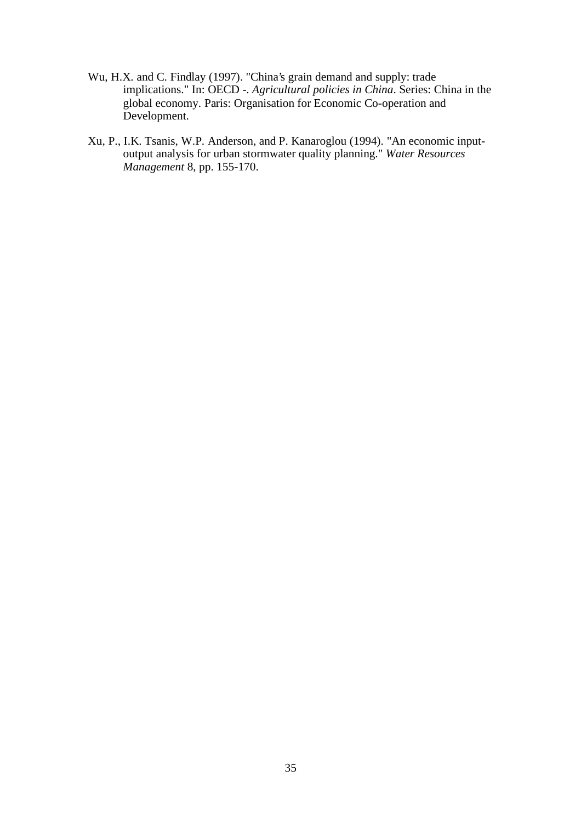- Wu, H.X. and C. Findlay (1997). "China's grain demand and supply: trade implications." In: OECD -. *Agricultural policies in China*. Series: China in the global economy. Paris: Organisation for Economic Co-operation and Development.
- Xu, P., I.K. Tsanis, W.P. Anderson, and P. Kanaroglou (1994). "An economic inputoutput analysis for urban stormwater quality planning." *Water Resources Management* 8, pp. 155-170.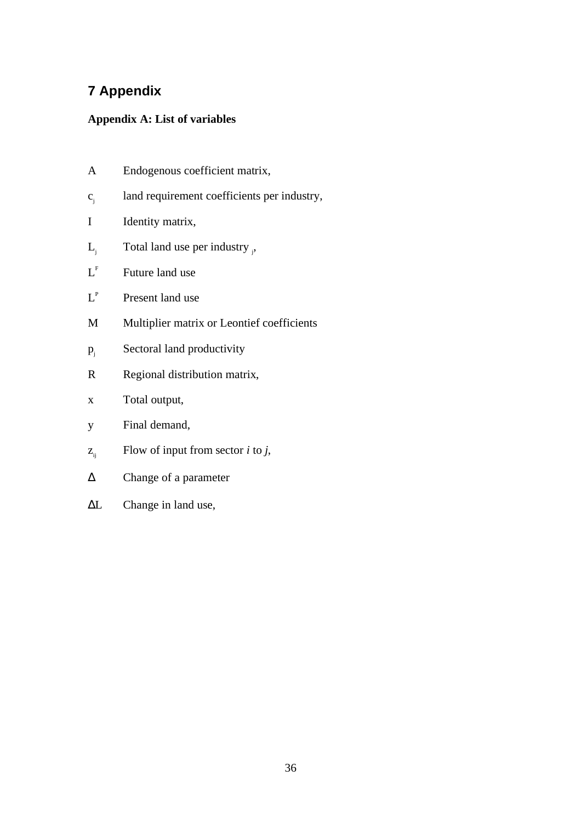# **7 Appendix**

## **Appendix A: List of variables**

- A Endogenous coefficient matrix,
- cj land requirement coefficients per industry,
- I Identity matrix,
- $L_j$  Total land use per industry  $_i$ ,
- $L<sup>F</sup>$  Future land use
- $L^P$ Present land use
- M Multiplier matrix or Leontief coefficients
- $p_i$  Sectoral land productivity
- R Regional distribution matrix,
- x Total output,
- y Final demand,
- $z_{ij}$  Flow of input from sector *i* to *j*,
- ∆ Change of a parameter
- ∆L Change in land use,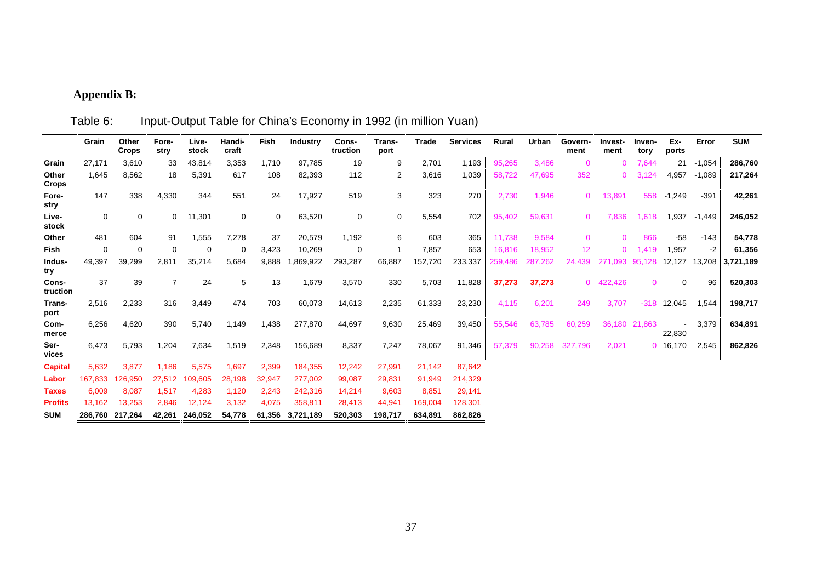# **Appendix B:**

|                       | Grain           | Other<br><b>Crops</b> | Fore-<br>stry  | Live-<br>stock | Handi-<br>craft | Fish        | <b>Industry</b> | Cons-<br>truction | Trans-<br>port | <b>Trade</b> | <b>Services</b> | Rural   | Urban   | Govern-<br>ment | Invest-<br>ment | Inven-<br>tory | Ex-<br>ports | Error    | <b>SUM</b> |
|-----------------------|-----------------|-----------------------|----------------|----------------|-----------------|-------------|-----------------|-------------------|----------------|--------------|-----------------|---------|---------|-----------------|-----------------|----------------|--------------|----------|------------|
| Grain                 | 27,171          | 3,610                 | 33             | 43,814         | 3,353           | 1,710       | 97,785          | 19                | 9              | 2,701        | 1,193           | 95,265  | 3,486   | $\mathbf{0}$    | $\Omega$        | 7,644          | 21           | $-1,054$ | 286,760    |
| Other<br><b>Crops</b> | 1,645           | 8,562                 | 18             | 5,391          | 617             | 108         | 82,393          | 112               | 2              | 3,616        | 1,039           | 58,722  | 47,695  | 352             | $\Omega$        | 3.124          | 4,957        | $-1,089$ | 217,264    |
| Fore-<br>stry         | 147             | 338                   | 4,330          | 344            | 551             | 24          | 17,927          | 519               | 3              | 323          | 270             | 2,730   | 1,946   | $\mathbf{0}$    | 13,891          | 558            | $-1,249$     | $-391$   | 42,261     |
| Live-<br>stock        | $\mathbf 0$     | $\mathbf 0$           | 0              | 11,301         | $\mathbf 0$     | $\mathbf 0$ | 63,520          | $\mathbf 0$       | 0              | 5,554        | 702             | 95,402  | 59,631  | $\mathbf{0}$    | 7.836           | 1.618          | 1,937        | $-1,449$ | 246,052    |
| Other                 | 481             | 604                   | 91             | 1,555          | 7,278           | 37          | 20,579          | 1,192             | 6              | 603          | 365             | 11,738  | 9,584   | $\mathbf{0}$    | $\Omega$        | 866            | $-58$        | $-143$   | 54,778     |
| Fish                  | 0               | $\Omega$              | $\Omega$       | $\Omega$       | $\Omega$        | 3,423       | 10,269          | $\Omega$          |                | 7,857        | 653             | 16.816  | 18,952  | 12 <sup>2</sup> | $\Omega$        | 1.419          | 1,957        | -2       | 61,356     |
| Indus-<br>try         | 49,397          | 39,299                | 2,811          | 35,214         | 5,684           | 9,888       | .869,922        | 293,287           | 66,887         | 152,720      | 233,337         | 259,486 | 287,262 | 24.439          | 271.093         | 95,128         | 12,127       | 13,208   | 3,721,189  |
| Cons-<br>truction     | 37              | 39                    | $\overline{7}$ | 24             | 5               | 13          | 1,679           | 3,570             | 330            | 5,703        | 11,828          | 37,273  | 37,273  |                 | 0 422,426       | $\Omega$       | $\mathbf 0$  | 96       | 520,303    |
| Trans-<br>port        | 2,516           | 2,233                 | 316            | 3,449          | 474             | 703         | 60,073          | 14,613            | 2,235          | 61,333       | 23,230          | 4,115   | 6,201   | 249             | 3,707           | $-318$         | 12,045       | 1,544    | 198,717    |
| Com-<br>merce         | 6,256           | 4,620                 | 390            | 5,740          | 1,149           | 1,438       | 277,870         | 44,697            | 9,630          | 25,469       | 39,450          | 55,546  | 63,785  | 60,259          |                 | 36,180 21,863  | 22,830       | 3,379    | 634,891    |
| Ser-<br>vices         | 6,473           | 5,793                 | 1,204          | 7,634          | 1,519           | 2,348       | 156,689         | 8,337             | 7,247          | 78,067       | 91,346          | 57,379  | 90.258  | 327.796         | 2,021           |                | 0, 16, 170   | 2,545    | 862,826    |
| <b>Capital</b>        | 5,632           | 3,877                 | 1,186          | 5,575          | 1,697           | 2,399       | 184,355         | 12,242            | 27,991         | 21,142       | 87,642          |         |         |                 |                 |                |              |          |            |
| Labor                 | 167.833         | 126,950               | 27,512         | 109,605        | 28,198          | 32,947      | 277,002         | 99,087            | 29,831         | 91,949       | 214,329         |         |         |                 |                 |                |              |          |            |
| <b>Taxes</b>          | 6.009           | 8,087                 | 1,517          | 4,283          | 1,120           | 2,243       | 242,316         | 14,214            | 9,603          | 8,851        | 29,141          |         |         |                 |                 |                |              |          |            |
| <b>Profits</b>        | 13.162          | 13,253                | 2,846          | 12,124         | 3,132           | 4,075       | 358,811         | 28,413            | 44,941         | 169,004      | 128,301         |         |         |                 |                 |                |              |          |            |
| <b>SUM</b>            | 286,760 217,264 |                       | 42.261         | 246.052        | 54.778          | 61.356      | 3.721.189       | 520.303           | 198.717        | 634.891      | 862.826         |         |         |                 |                 |                |              |          |            |

Table 6: Input-Output Table for China's Economy in 1992 (in million Yuan)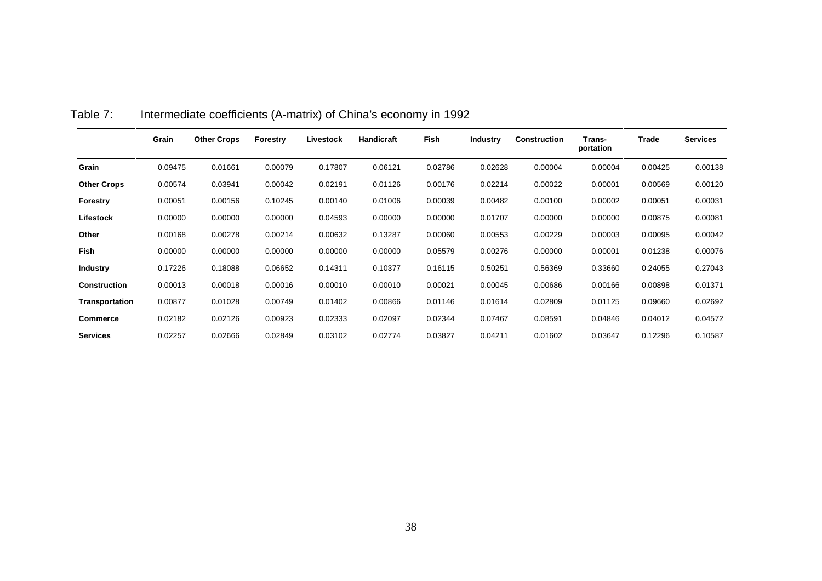|                    | Grain   | <b>Other Crops</b> | Forestry | Livestock | Handicraft | Fish    | <b>Industry</b> | Construction | Trans-<br>portation | Trade   | <b>Services</b> |
|--------------------|---------|--------------------|----------|-----------|------------|---------|-----------------|--------------|---------------------|---------|-----------------|
| Grain              | 0.09475 | 0.01661            | 0.00079  | 0.17807   | 0.06121    | 0.02786 | 0.02628         | 0.00004      | 0.00004             | 0.00425 | 0.00138         |
| <b>Other Crops</b> | 0.00574 | 0.03941            | 0.00042  | 0.02191   | 0.01126    | 0.00176 | 0.02214         | 0.00022      | 0.00001             | 0.00569 | 0.00120         |
| Forestry           | 0.00051 | 0.00156            | 0.10245  | 0.00140   | 0.01006    | 0.00039 | 0.00482         | 0.00100      | 0.00002             | 0.00051 | 0.00031         |
| Lifestock          | 0.00000 | 0.00000            | 0.00000  | 0.04593   | 0.00000    | 0.00000 | 0.01707         | 0.00000      | 0.00000             | 0.00875 | 0.00081         |
| Other              | 0.00168 | 0.00278            | 0.00214  | 0.00632   | 0.13287    | 0.00060 | 0.00553         | 0.00229      | 0.00003             | 0.00095 | 0.00042         |
| Fish               | 0.00000 | 0.00000            | 0.00000  | 0.00000   | 0.00000    | 0.05579 | 0.00276         | 0.00000      | 0.00001             | 0.01238 | 0.00076         |
| <b>Industry</b>    | 0.17226 | 0.18088            | 0.06652  | 0.14311   | 0.10377    | 0.16115 | 0.50251         | 0.56369      | 0.33660             | 0.24055 | 0.27043         |
| Construction       | 0.00013 | 0.00018            | 0.00016  | 0.00010   | 0.00010    | 0.00021 | 0.00045         | 0.00686      | 0.00166             | 0.00898 | 0.01371         |
| Transportation     | 0.00877 | 0.01028            | 0.00749  | 0.01402   | 0.00866    | 0.01146 | 0.01614         | 0.02809      | 0.01125             | 0.09660 | 0.02692         |
| <b>Commerce</b>    | 0.02182 | 0.02126            | 0.00923  | 0.02333   | 0.02097    | 0.02344 | 0.07467         | 0.08591      | 0.04846             | 0.04012 | 0.04572         |
| <b>Services</b>    | 0.02257 | 0.02666            | 0.02849  | 0.03102   | 0.02774    | 0.03827 | 0.04211         | 0.01602      | 0.03647             | 0.12296 | 0.10587         |

# Table 7: Intermediate coefficients (A-matrix) of China's economy in 1992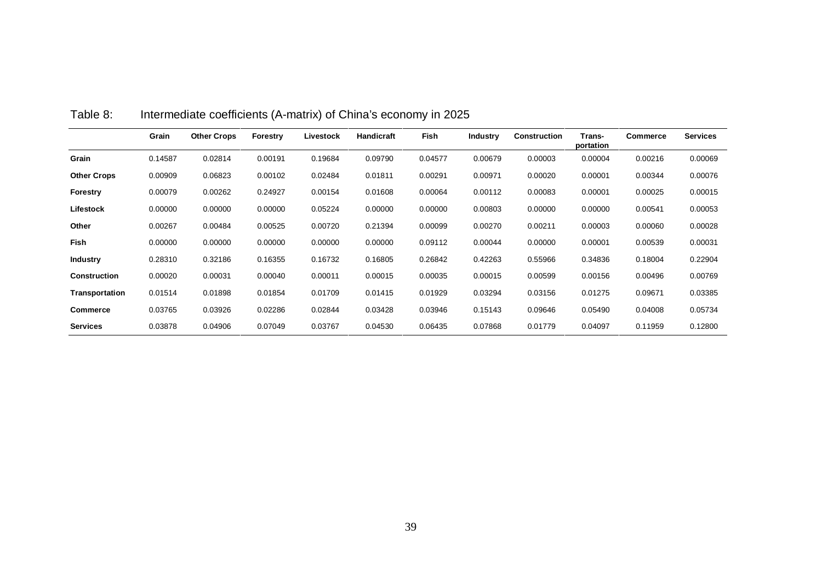|                    | Grain   | <b>Other Crops</b> | <b>Forestry</b> | Livestock | Handicraft | Fish    | <b>Industry</b> | <b>Construction</b> | Trans-<br>portation | <b>Commerce</b> | <b>Services</b> |
|--------------------|---------|--------------------|-----------------|-----------|------------|---------|-----------------|---------------------|---------------------|-----------------|-----------------|
| Grain              | 0.14587 | 0.02814            | 0.00191         | 0.19684   | 0.09790    | 0.04577 | 0.00679         | 0.00003             | 0.00004             | 0.00216         | 0.00069         |
| <b>Other Crops</b> | 0.00909 | 0.06823            | 0.00102         | 0.02484   | 0.01811    | 0.00291 | 0.00971         | 0.00020             | 0.00001             | 0.00344         | 0.00076         |
| <b>Forestry</b>    | 0.00079 | 0.00262            | 0.24927         | 0.00154   | 0.01608    | 0.00064 | 0.00112         | 0.00083             | 0.00001             | 0.00025         | 0.00015         |
| Lifestock          | 0.00000 | 0.00000            | 0.00000         | 0.05224   | 0.00000    | 0.00000 | 0.00803         | 0.00000             | 0.00000             | 0.00541         | 0.00053         |
| Other              | 0.00267 | 0.00484            | 0.00525         | 0.00720   | 0.21394    | 0.00099 | 0.00270         | 0.00211             | 0.00003             | 0.00060         | 0.00028         |
| <b>Fish</b>        | 0.00000 | 0.00000            | 0.00000         | 0.00000   | 0.00000    | 0.09112 | 0.00044         | 0.00000             | 0.00001             | 0.00539         | 0.00031         |
| <b>Industry</b>    | 0.28310 | 0.32186            | 0.16355         | 0.16732   | 0.16805    | 0.26842 | 0.42263         | 0.55966             | 0.34836             | 0.18004         | 0.22904         |
| Construction       | 0.00020 | 0.00031            | 0.00040         | 0.00011   | 0.00015    | 0.00035 | 0.00015         | 0.00599             | 0.00156             | 0.00496         | 0.00769         |
| Transportation     | 0.01514 | 0.01898            | 0.01854         | 0.01709   | 0.01415    | 0.01929 | 0.03294         | 0.03156             | 0.01275             | 0.09671         | 0.03385         |
| <b>Commerce</b>    | 0.03765 | 0.03926            | 0.02286         | 0.02844   | 0.03428    | 0.03946 | 0.15143         | 0.09646             | 0.05490             | 0.04008         | 0.05734         |
| <b>Services</b>    | 0.03878 | 0.04906            | 0.07049         | 0.03767   | 0.04530    | 0.06435 | 0.07868         | 0.01779             | 0.04097             | 0.11959         | 0.12800         |

# Table 8: Intermediate coefficients (A-matrix) of China's economy in 2025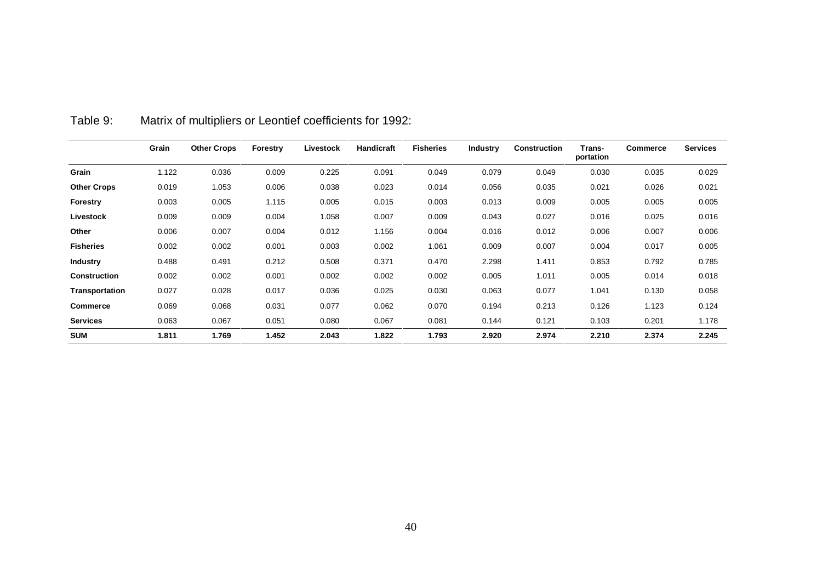|                     | Grain | <b>Other Crops</b> | Forestry | Livestock | Handicraft | <b>Fisheries</b> | <b>Industry</b> | <b>Construction</b> | Trans-<br>portation | <b>Commerce</b> | <b>Services</b> |
|---------------------|-------|--------------------|----------|-----------|------------|------------------|-----------------|---------------------|---------------------|-----------------|-----------------|
| Grain               | 1.122 | 0.036              | 0.009    | 0.225     | 0.091      | 0.049            | 0.079           | 0.049               | 0.030               | 0.035           | 0.029           |
| <b>Other Crops</b>  | 0.019 | 1.053              | 0.006    | 0.038     | 0.023      | 0.014            | 0.056           | 0.035               | 0.021               | 0.026           | 0.021           |
| <b>Forestry</b>     | 0.003 | 0.005              | 1.115    | 0.005     | 0.015      | 0.003            | 0.013           | 0.009               | 0.005               | 0.005           | 0.005           |
| Livestock           | 0.009 | 0.009              | 0.004    | 1.058     | 0.007      | 0.009            | 0.043           | 0.027               | 0.016               | 0.025           | 0.016           |
| Other               | 0.006 | 0.007              | 0.004    | 0.012     | 1.156      | 0.004            | 0.016           | 0.012               | 0.006               | 0.007           | 0.006           |
| <b>Fisheries</b>    | 0.002 | 0.002              | 0.001    | 0.003     | 0.002      | 1.061            | 0.009           | 0.007               | 0.004               | 0.017           | 0.005           |
| <b>Industry</b>     | 0.488 | 0.491              | 0.212    | 0.508     | 0.371      | 0.470            | 2.298           | 1.411               | 0.853               | 0.792           | 0.785           |
| <b>Construction</b> | 0.002 | 0.002              | 0.001    | 0.002     | 0.002      | 0.002            | 0.005           | 1.011               | 0.005               | 0.014           | 0.018           |
| Transportation      | 0.027 | 0.028              | 0.017    | 0.036     | 0.025      | 0.030            | 0.063           | 0.077               | 1.041               | 0.130           | 0.058           |
| <b>Commerce</b>     | 0.069 | 0.068              | 0.031    | 0.077     | 0.062      | 0.070            | 0.194           | 0.213               | 0.126               | 1.123           | 0.124           |
| <b>Services</b>     | 0.063 | 0.067              | 0.051    | 0.080     | 0.067      | 0.081            | 0.144           | 0.121               | 0.103               | 0.201           | 1.178           |
| <b>SUM</b>          | 1.811 | 1.769              | 1.452    | 2.043     | 1.822      | 1.793            | 2.920           | 2.974               | 2.210               | 2.374           | 2.245           |

Table 9: Matrix of multipliers or Leontief coefficients for 1992: